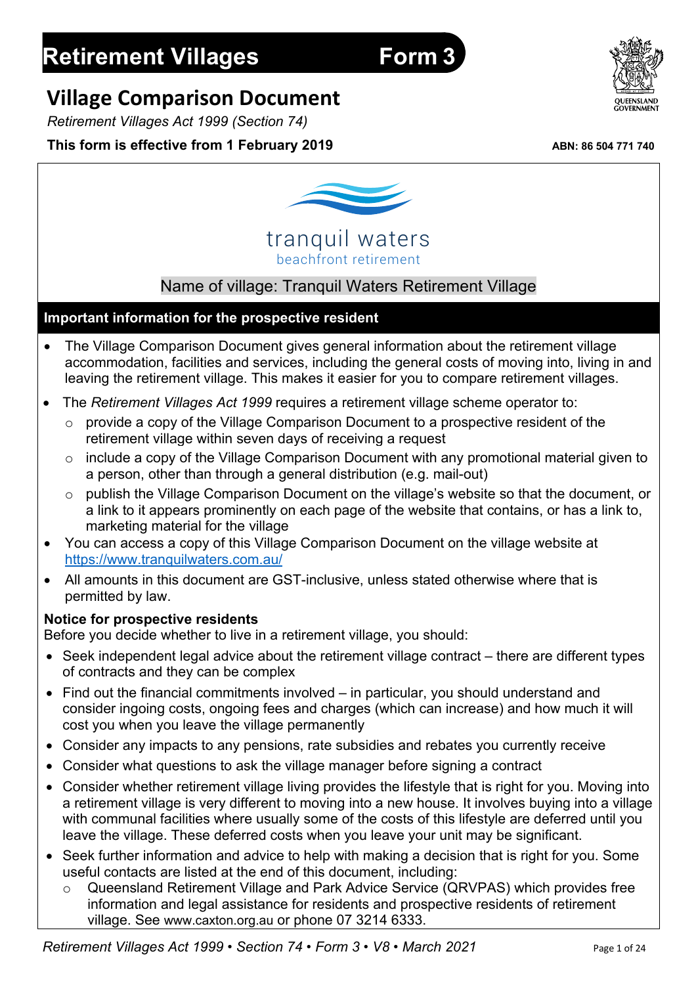# **Village Comparison Document**

*Retirement Villages Act 1999 (Section 74)*

## **This form is effective from 1 February 2019** ABN: 86 504 771 740



beachfront retirement tranquil waters

# Name of village: Tranquil Waters Retirement Village

#### **Important information for the prospective resident**

- The Village Comparison Document gives general information about the retirement village accommodation, facilities and services, including the general costs of moving into, living in and leaving the retirement village. This makes it easier for you to compare retirement villages.
- The *Retirement Villages Act 1999* requires a retirement village scheme operator to:
	- o provide a copy of the Village Comparison Document to a prospective resident of the retirement village within seven days of receiving a request
	- o include a copy of the Village Comparison Document with any promotional material given to a person, other than through a general distribution (e.g. mail-out)
	- o publish the Village Comparison Document on the village's website so that the document, or a link to it appears prominently on each page of the website that contains, or has a link to, marketing material for the village
- You can access a copy of this Village Comparison Document on the village website at https://www.tranquilwaters.com.au/
- All amounts in this document are GST-inclusive, unless stated otherwise where that is permitted by law.

#### **Notice for prospective residents**

Before you decide whether to live in a retirement village, you should:

- Seek independent legal advice about the retirement village contract there are different types of contracts and they can be complex
- Find out the financial commitments involved in particular, you should understand and consider ingoing costs, ongoing fees and charges (which can increase) and how much it will cost you when you leave the village permanently
- Consider any impacts to any pensions, rate subsidies and rebates you currently receive
- Consider what questions to ask the village manager before signing a contract
- Consider whether retirement village living provides the lifestyle that is right for you. Moving into a retirement village is very different to moving into a new house. It involves buying into a village with communal facilities where usually some of the costs of this lifestyle are deferred until you leave the village. These deferred costs when you leave your unit may be significant.
- Seek further information and advice to help with making a decision that is right for you. Some useful contacts are listed at the end of this document, including:
	- Queensland Retirement Village and Park Advice Service (QRVPAS) which provides free information and legal assistance for residents and prospective residents of retirement village. See www.caxton.org.au or phone 07 3214 6333.

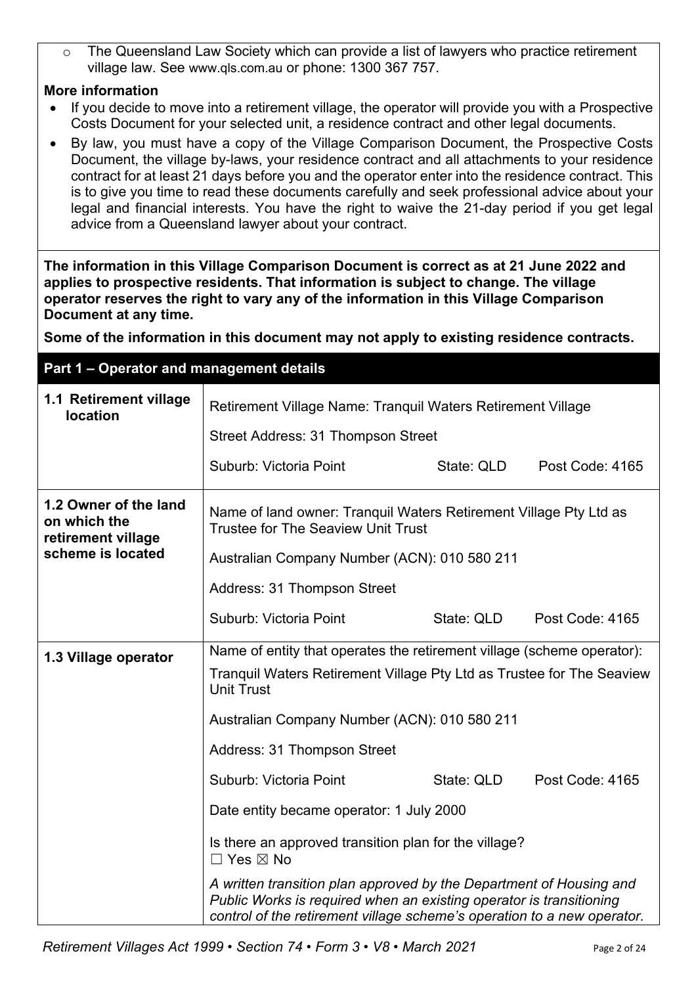The Queensland Law Society which can provide a list of lawyers who practice retirement village law. See www.qls.com.au or phone: 1300 367 757.

## **More information**

- If you decide to move into a retirement village, the operator will provide you with a Prospective Costs Document for your selected unit, a residence contract and other legal documents.
- By law, you must have a copy of the Village Comparison Document, the Prospective Costs Document, the village by-laws, your residence contract and all attachments to your residence contract for at least 21 days before you and the operator enter into the residence contract. This is to give you time to read these documents carefully and seek professional advice about your legal and financial interests. You have the right to waive the 21-day period if you get legal advice from a Queensland lawyer about your contract.

**The information in this Village Comparison Document is correct as at 21 June 2022 and applies to prospective residents. That information is subject to change. The village operator reserves the right to vary any of the information in this Village Comparison Document at any time.**

**Some of the information in this document may not apply to existing residence contracts.**

**Part 1 – Operator and management details 1.1 Retirement village Retirement Village Name: Tranquil Waters Retirement Village Incation** Street Address: 31 Thompson Street Suburb: Victoria Point ……………… State: QLD ……Post Code: 4165 **1.2 Owner of the land on which the retirement village scheme is located**  Name of land owner: Tranquil Waters Retirement Village Pty Ltd as Trustee for The Seaview Unit Trust Australian Company Number (ACN): 010 580 211 Address: 31 Thompson Street Suburb: Victoria Point……………… State: QLD ……Post Code: 4165 **1.3 Village operator** | Name of entity that operates the retirement village (scheme operator): Tranquil Waters Retirement Village Pty Ltd as Trustee for The Seaview Unit Trust Australian Company Number (ACN): 010 580 211 Address: 31 Thompson Street Suburb: Victoria Point……………… State: QLD ……Post Code: 4165 Date entity became operator: 1 July 2000 Is there an approved transition plan for the village?  $\Box$  Yes  $\boxtimes$  No *A written transition plan approved by the Department of Housing and Public Works is required when an existing operator is transitioning control of the retirement village scheme's operation to a new operator.*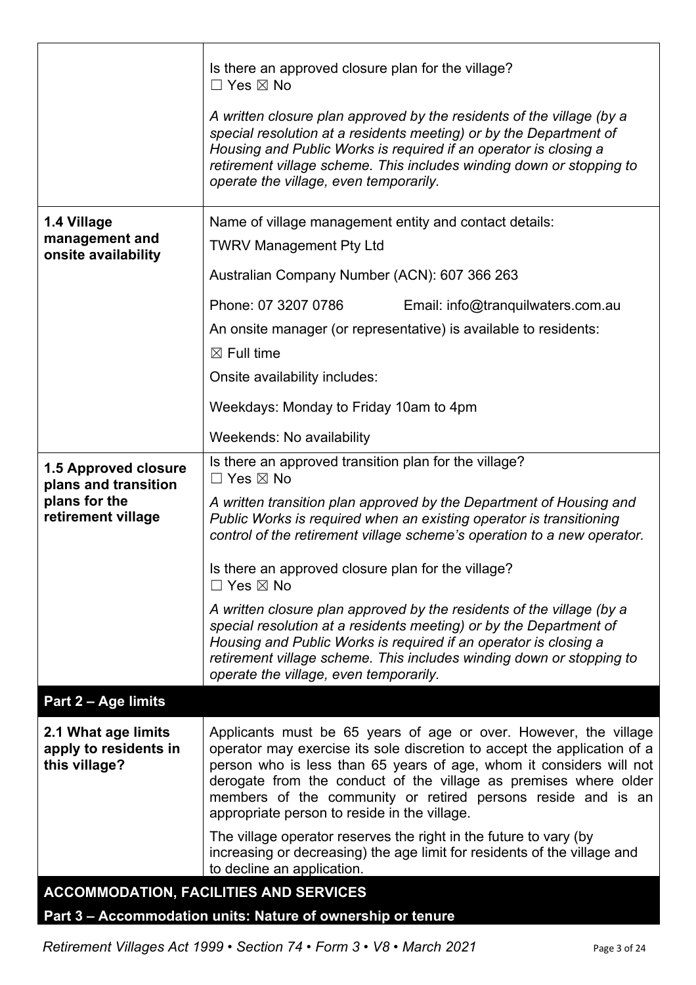|                                                               | Is there an approved closure plan for the village?<br>$\Box$ Yes $\boxtimes$ No<br>A written closure plan approved by the residents of the village (by a                                                                                                                                                                                                                                                |
|---------------------------------------------------------------|---------------------------------------------------------------------------------------------------------------------------------------------------------------------------------------------------------------------------------------------------------------------------------------------------------------------------------------------------------------------------------------------------------|
|                                                               | special resolution at a residents meeting) or by the Department of<br>Housing and Public Works is required if an operator is closing a<br>retirement village scheme. This includes winding down or stopping to<br>operate the village, even temporarily.                                                                                                                                                |
| 1.4 Village                                                   | Name of village management entity and contact details:                                                                                                                                                                                                                                                                                                                                                  |
| management and<br>onsite availability                         | <b>TWRV Management Pty Ltd</b>                                                                                                                                                                                                                                                                                                                                                                          |
|                                                               | Australian Company Number (ACN): 607 366 263                                                                                                                                                                                                                                                                                                                                                            |
|                                                               | Phone: 07 3207 0786<br>Email: info@tranquilwaters.com.au                                                                                                                                                                                                                                                                                                                                                |
|                                                               | An onsite manager (or representative) is available to residents:                                                                                                                                                                                                                                                                                                                                        |
|                                                               | $\boxtimes$ Full time                                                                                                                                                                                                                                                                                                                                                                                   |
|                                                               | Onsite availability includes:                                                                                                                                                                                                                                                                                                                                                                           |
|                                                               | Weekdays: Monday to Friday 10am to 4pm                                                                                                                                                                                                                                                                                                                                                                  |
|                                                               | Weekends: No availability                                                                                                                                                                                                                                                                                                                                                                               |
| <b>1.5 Approved closure</b><br>plans and transition           | Is there an approved transition plan for the village?<br>$\Box$ Yes $\boxtimes$ No                                                                                                                                                                                                                                                                                                                      |
| plans for the<br>retirement village                           | A written transition plan approved by the Department of Housing and<br>Public Works is required when an existing operator is transitioning<br>control of the retirement village scheme's operation to a new operator.                                                                                                                                                                                   |
|                                                               | Is there an approved closure plan for the village?<br>$\Box$ Yes $\boxtimes$ No                                                                                                                                                                                                                                                                                                                         |
|                                                               | A written closure plan approved by the residents of the village (by a<br>special resolution at a residents meeting) or by the Department of<br>Housing and Public Works is required if an operator is closing a<br>retirement village scheme. This includes winding down or stopping to<br>operate the village, even temporarily.                                                                       |
| Part 2 - Age limits                                           |                                                                                                                                                                                                                                                                                                                                                                                                         |
| 2.1 What age limits<br>apply to residents in<br>this village? | Applicants must be 65 years of age or over. However, the village<br>operator may exercise its sole discretion to accept the application of a<br>person who is less than 65 years of age, whom it considers will not<br>derogate from the conduct of the village as premises where older<br>members of the community or retired persons reside and is an<br>appropriate person to reside in the village. |
|                                                               | The village operator reserves the right in the future to vary (by<br>increasing or decreasing) the age limit for residents of the village and<br>to decline an application.                                                                                                                                                                                                                             |
|                                                               | <b>ACCOMMODATION, FACILITIES AND SERVICES</b>                                                                                                                                                                                                                                                                                                                                                           |

# **Part 3 – Accommodation units: Nature of ownership or tenure**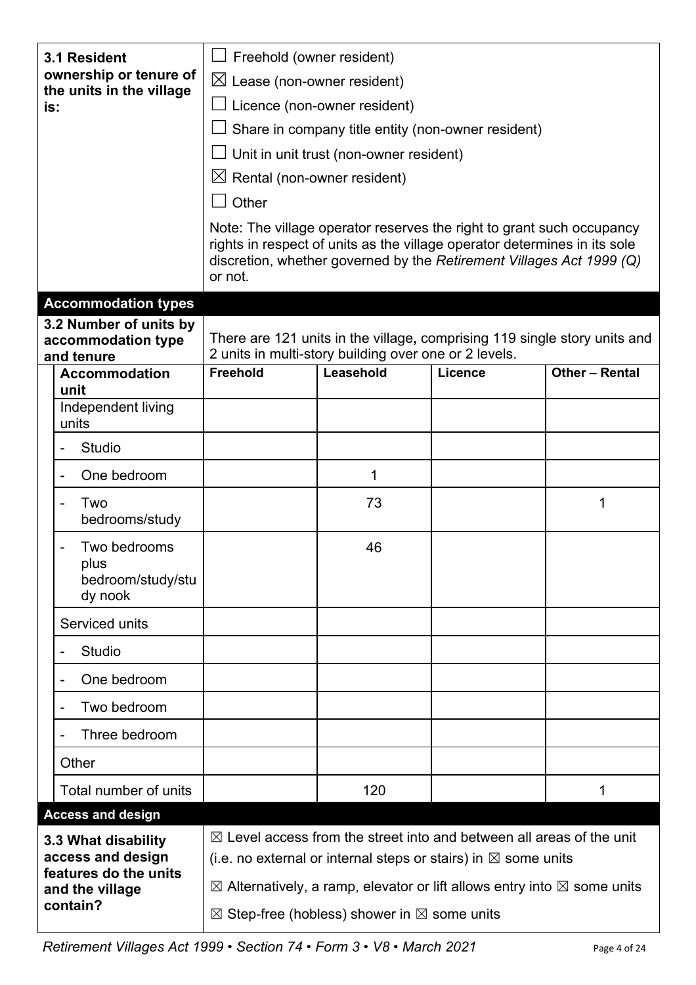| 3.1 Resident                                                                                     |                                                            | Freehold (owner resident)                                                                                                                                                                                                                                                                                                       |                                                       |                                                                           |                |
|--------------------------------------------------------------------------------------------------|------------------------------------------------------------|---------------------------------------------------------------------------------------------------------------------------------------------------------------------------------------------------------------------------------------------------------------------------------------------------------------------------------|-------------------------------------------------------|---------------------------------------------------------------------------|----------------|
| ownership or tenure of<br>the units in the village<br>is:                                        | $\boxtimes$ Lease (non-owner resident)                     |                                                                                                                                                                                                                                                                                                                                 |                                                       |                                                                           |                |
|                                                                                                  | Licence (non-owner resident)                               |                                                                                                                                                                                                                                                                                                                                 |                                                       |                                                                           |                |
|                                                                                                  |                                                            |                                                                                                                                                                                                                                                                                                                                 | Share in company title entity (non-owner resident)    |                                                                           |                |
|                                                                                                  |                                                            |                                                                                                                                                                                                                                                                                                                                 | Unit in unit trust (non-owner resident)               |                                                                           |                |
|                                                                                                  |                                                            | $\boxtimes$ Rental (non-owner resident)                                                                                                                                                                                                                                                                                         |                                                       |                                                                           |                |
|                                                                                                  |                                                            | Other                                                                                                                                                                                                                                                                                                                           |                                                       |                                                                           |                |
|                                                                                                  |                                                            | Note: The village operator reserves the right to grant such occupancy<br>rights in respect of units as the village operator determines in its sole<br>discretion, whether governed by the Retirement Villages Act 1999 (Q)<br>or not.                                                                                           |                                                       |                                                                           |                |
|                                                                                                  | <b>Accommodation types</b>                                 |                                                                                                                                                                                                                                                                                                                                 |                                                       |                                                                           |                |
|                                                                                                  | 3.2 Number of units by<br>accommodation type<br>and tenure |                                                                                                                                                                                                                                                                                                                                 | 2 units in multi-story building over one or 2 levels. | There are 121 units in the village, comprising 119 single story units and |                |
|                                                                                                  | <b>Accommodation</b><br>unit                               | <b>Freehold</b>                                                                                                                                                                                                                                                                                                                 | Leasehold                                             | <b>Licence</b>                                                            | Other - Rental |
|                                                                                                  | Independent living<br>units                                |                                                                                                                                                                                                                                                                                                                                 |                                                       |                                                                           |                |
|                                                                                                  | <b>Studio</b>                                              |                                                                                                                                                                                                                                                                                                                                 |                                                       |                                                                           |                |
|                                                                                                  | One bedroom                                                |                                                                                                                                                                                                                                                                                                                                 | 1                                                     |                                                                           |                |
|                                                                                                  | Two<br>bedrooms/study                                      |                                                                                                                                                                                                                                                                                                                                 | 73                                                    |                                                                           | 1              |
|                                                                                                  | Two bedrooms<br>plus<br>bedroom/study/stu<br>dy nook       |                                                                                                                                                                                                                                                                                                                                 | 46                                                    |                                                                           |                |
|                                                                                                  | Serviced units                                             |                                                                                                                                                                                                                                                                                                                                 |                                                       |                                                                           |                |
|                                                                                                  | <b>Studio</b>                                              |                                                                                                                                                                                                                                                                                                                                 |                                                       |                                                                           |                |
|                                                                                                  | One bedroom                                                |                                                                                                                                                                                                                                                                                                                                 |                                                       |                                                                           |                |
|                                                                                                  | Two bedroom                                                |                                                                                                                                                                                                                                                                                                                                 |                                                       |                                                                           |                |
|                                                                                                  | Three bedroom                                              |                                                                                                                                                                                                                                                                                                                                 |                                                       |                                                                           |                |
|                                                                                                  | Other                                                      |                                                                                                                                                                                                                                                                                                                                 |                                                       |                                                                           |                |
|                                                                                                  | Total number of units                                      |                                                                                                                                                                                                                                                                                                                                 | 120                                                   |                                                                           | 1              |
| <b>Access and design</b>                                                                         |                                                            |                                                                                                                                                                                                                                                                                                                                 |                                                       |                                                                           |                |
| 3.3 What disability<br>access and design<br>features do the units<br>and the village<br>contain? |                                                            | $\boxtimes$ Level access from the street into and between all areas of the unit<br>(i.e. no external or internal steps or stairs) in $\boxtimes$ some units<br>$\boxtimes$ Alternatively, a ramp, elevator or lift allows entry into $\boxtimes$ some units<br>$\boxtimes$ Step-free (hobless) shower in $\boxtimes$ some units |                                                       |                                                                           |                |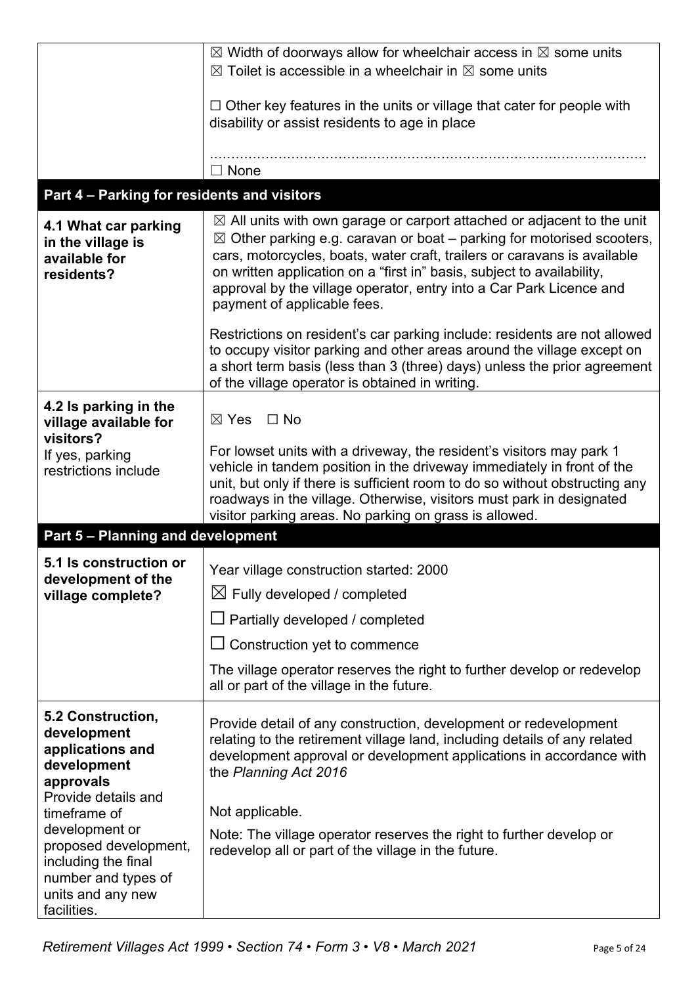|                                                                                                                           | $\boxtimes$ Width of doorways allow for wheelchair access in $\boxtimes$ some units<br>$\boxtimes$ Toilet is accessible in a wheelchair in $\boxtimes$ some units                                                                                                                                                                                                                                                                 |
|---------------------------------------------------------------------------------------------------------------------------|-----------------------------------------------------------------------------------------------------------------------------------------------------------------------------------------------------------------------------------------------------------------------------------------------------------------------------------------------------------------------------------------------------------------------------------|
|                                                                                                                           | $\Box$ Other key features in the units or village that cater for people with<br>disability or assist residents to age in place                                                                                                                                                                                                                                                                                                    |
|                                                                                                                           | $\Box$ None                                                                                                                                                                                                                                                                                                                                                                                                                       |
| Part 4 - Parking for residents and visitors                                                                               |                                                                                                                                                                                                                                                                                                                                                                                                                                   |
| 4.1 What car parking<br>in the village is<br>available for<br>residents?                                                  | $\boxtimes$ All units with own garage or carport attached or adjacent to the unit<br>$\boxtimes$ Other parking e.g. caravan or boat – parking for motorised scooters,<br>cars, motorcycles, boats, water craft, trailers or caravans is available<br>on written application on a "first in" basis, subject to availability,<br>approval by the village operator, entry into a Car Park Licence and<br>payment of applicable fees. |
|                                                                                                                           | Restrictions on resident's car parking include: residents are not allowed<br>to occupy visitor parking and other areas around the village except on<br>a short term basis (less than 3 (three) days) unless the prior agreement<br>of the village operator is obtained in writing.                                                                                                                                                |
| 4.2 Is parking in the<br>village available for<br>visitors?                                                               | $\Box$ No<br>$\boxtimes$ Yes                                                                                                                                                                                                                                                                                                                                                                                                      |
| If yes, parking<br>restrictions include                                                                                   | For lowset units with a driveway, the resident's visitors may park 1<br>vehicle in tandem position in the driveway immediately in front of the<br>unit, but only if there is sufficient room to do so without obstructing any<br>roadways in the village. Otherwise, visitors must park in designated<br>visitor parking areas. No parking on grass is allowed.                                                                   |
| <b>Part 5 - Planning and development</b>                                                                                  |                                                                                                                                                                                                                                                                                                                                                                                                                                   |
| 5.1 Is construction or                                                                                                    | Year village construction started: 2000                                                                                                                                                                                                                                                                                                                                                                                           |
| development of the<br>village complete?                                                                                   | $\boxtimes$ Fully developed / completed                                                                                                                                                                                                                                                                                                                                                                                           |
|                                                                                                                           | $\Box$ Partially developed / completed                                                                                                                                                                                                                                                                                                                                                                                            |
|                                                                                                                           | $\Box$ Construction yet to commence                                                                                                                                                                                                                                                                                                                                                                                               |
|                                                                                                                           | The village operator reserves the right to further develop or redevelop<br>all or part of the village in the future.                                                                                                                                                                                                                                                                                                              |
| 5.2 Construction,<br>development<br>applications and<br>development<br>approvals<br>Provide details and                   | Provide detail of any construction, development or redevelopment<br>relating to the retirement village land, including details of any related<br>development approval or development applications in accordance with<br>the Planning Act 2016                                                                                                                                                                                     |
| timeframe of                                                                                                              | Not applicable.                                                                                                                                                                                                                                                                                                                                                                                                                   |
| development or<br>proposed development,<br>including the final<br>number and types of<br>units and any new<br>facilities. | Note: The village operator reserves the right to further develop or<br>redevelop all or part of the village in the future.                                                                                                                                                                                                                                                                                                        |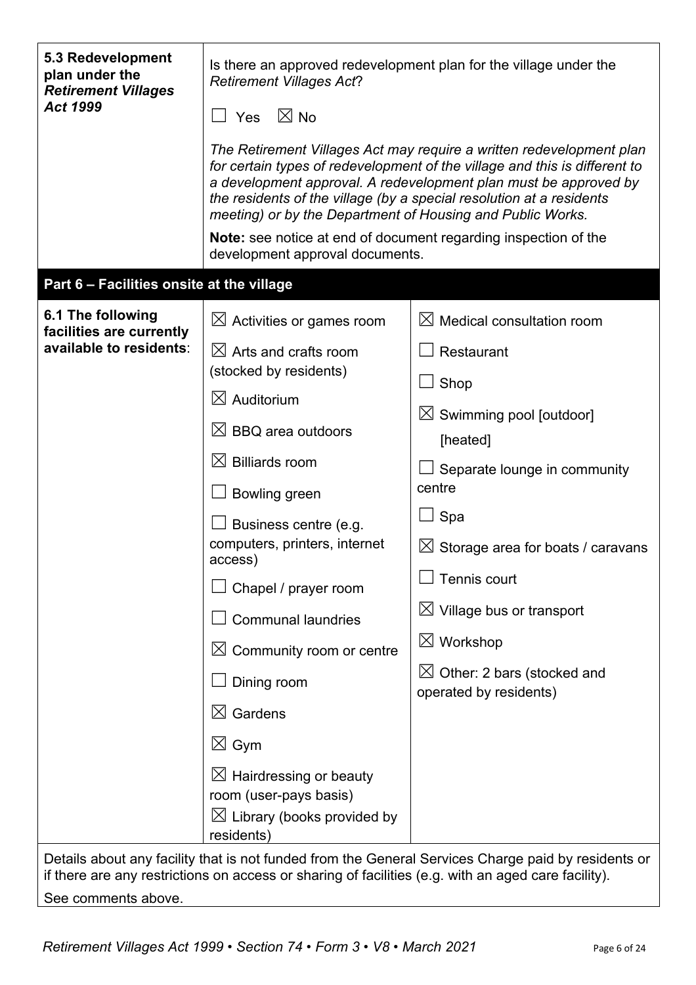| 5.3 Redevelopment<br>plan under the<br><b>Retirement Villages</b><br>Act 1999                                                                                                                                                                                      | Is there an approved redevelopment plan for the village under the<br><b>Retirement Villages Act?</b><br>$\boxtimes$ No<br>Yes<br>The Retirement Villages Act may require a written redevelopment plan<br>for certain types of redevelopment of the village and this is different to<br>a development approval. A redevelopment plan must be approved by<br>the residents of the village (by a special resolution at a residents<br>meeting) or by the Department of Housing and Public Works.<br>Note: see notice at end of document regarding inspection of the<br>development approval documents. |                                                                                                                                                                                                                                                                                                                                                                      |  |  |
|--------------------------------------------------------------------------------------------------------------------------------------------------------------------------------------------------------------------------------------------------------------------|-----------------------------------------------------------------------------------------------------------------------------------------------------------------------------------------------------------------------------------------------------------------------------------------------------------------------------------------------------------------------------------------------------------------------------------------------------------------------------------------------------------------------------------------------------------------------------------------------------|----------------------------------------------------------------------------------------------------------------------------------------------------------------------------------------------------------------------------------------------------------------------------------------------------------------------------------------------------------------------|--|--|
| Part 6 - Facilities onsite at the village                                                                                                                                                                                                                          |                                                                                                                                                                                                                                                                                                                                                                                                                                                                                                                                                                                                     |                                                                                                                                                                                                                                                                                                                                                                      |  |  |
| 6.1 The following<br>facilities are currently<br>available to residents:                                                                                                                                                                                           | $\boxtimes$ Activities or games room<br>$\boxtimes$ Arts and crafts room<br>(stocked by residents)<br>$\boxtimes$ Auditorium<br>$\boxtimes$ BBQ area outdoors<br>$\boxtimes$ Billiards room<br>Bowling green<br>Business centre (e.g.<br>computers, printers, internet<br>access)<br>Chapel / prayer room<br><b>Communal laundries</b><br>$\boxtimes$ Community room or centre<br>Dining room<br>$\boxtimes$ Gardens<br>$\boxtimes$ Gym<br>$\boxtimes$ Hairdressing or beauty<br>room (user-pays basis)                                                                                             | $\boxtimes$ Medical consultation room<br>Restaurant<br>Shop<br>$\boxtimes$ Swimming pool [outdoor]<br>[heated]<br>Separate lounge in community<br>centre<br>Spa<br>$\boxtimes$ Storage area for boats / caravans<br>Tennis court<br>$\boxtimes$ Village bus or transport<br>$\boxtimes$ Workshop<br>$\boxtimes$ Other: 2 bars (stocked and<br>operated by residents) |  |  |
| $\boxtimes$ Library (books provided by<br>residents)<br>Details about any facility that is not funded from the General Services Charge paid by residents or<br>if there are any restrictions on access or sharing of facilities (e.g. with an aged care facility). |                                                                                                                                                                                                                                                                                                                                                                                                                                                                                                                                                                                                     |                                                                                                                                                                                                                                                                                                                                                                      |  |  |

See comments above.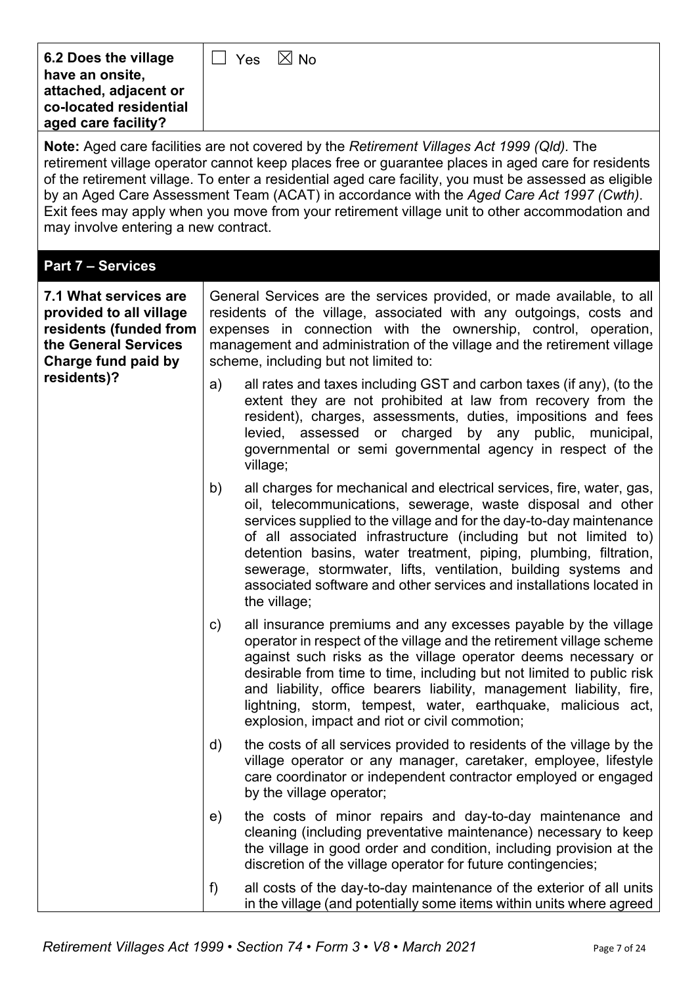| 6.2 Does the village<br>have an onsite,<br>attached, adjacent or<br>co-located residential<br>aged care facility?         |                                                                                                                                                                                                                                                                                                                                                                                                                                                                                                                                                        | $\boxtimes$ No<br>$\Box$ Yes                                                                                                                                                                                                                                                                                                                                                                                                                                                                                |  |  |  |
|---------------------------------------------------------------------------------------------------------------------------|--------------------------------------------------------------------------------------------------------------------------------------------------------------------------------------------------------------------------------------------------------------------------------------------------------------------------------------------------------------------------------------------------------------------------------------------------------------------------------------------------------------------------------------------------------|-------------------------------------------------------------------------------------------------------------------------------------------------------------------------------------------------------------------------------------------------------------------------------------------------------------------------------------------------------------------------------------------------------------------------------------------------------------------------------------------------------------|--|--|--|
|                                                                                                                           | <b>Note:</b> Aged care facilities are not covered by the Retirement Villages Act 1999 (Qld). The<br>retirement village operator cannot keep places free or guarantee places in aged care for residents<br>of the retirement village. To enter a residential aged care facility, you must be assessed as eligible<br>by an Aged Care Assessment Team (ACAT) in accordance with the Aged Care Act 1997 (Cwth).<br>Exit fees may apply when you move from your retirement village unit to other accommodation and<br>may involve entering a new contract. |                                                                                                                                                                                                                                                                                                                                                                                                                                                                                                             |  |  |  |
| <b>Part 7 - Services</b>                                                                                                  |                                                                                                                                                                                                                                                                                                                                                                                                                                                                                                                                                        |                                                                                                                                                                                                                                                                                                                                                                                                                                                                                                             |  |  |  |
| 7.1 What services are<br>provided to all village<br>residents (funded from<br>the General Services<br>Charge fund paid by |                                                                                                                                                                                                                                                                                                                                                                                                                                                                                                                                                        | General Services are the services provided, or made available, to all<br>residents of the village, associated with any outgoings, costs and<br>expenses in connection with the ownership, control, operation,<br>management and administration of the village and the retirement village<br>scheme, including but not limited to:                                                                                                                                                                           |  |  |  |
| residents)?                                                                                                               | a)                                                                                                                                                                                                                                                                                                                                                                                                                                                                                                                                                     | all rates and taxes including GST and carbon taxes (if any), (to the<br>extent they are not prohibited at law from recovery from the<br>resident), charges, assessments, duties, impositions and fees<br>levied, assessed or charged by any public, municipal,<br>governmental or semi governmental agency in respect of the<br>village;                                                                                                                                                                    |  |  |  |
|                                                                                                                           | b)                                                                                                                                                                                                                                                                                                                                                                                                                                                                                                                                                     | all charges for mechanical and electrical services, fire, water, gas,<br>oil, telecommunications, sewerage, waste disposal and other<br>services supplied to the village and for the day-to-day maintenance<br>of all associated infrastructure (including but not limited to)<br>detention basins, water treatment, piping, plumbing, filtration,<br>sewerage, stormwater, lifts, ventilation, building systems and<br>associated software and other services and installations located in<br>the village; |  |  |  |
|                                                                                                                           | $\mathsf{c})$                                                                                                                                                                                                                                                                                                                                                                                                                                                                                                                                          | all insurance premiums and any excesses payable by the village<br>operator in respect of the village and the retirement village scheme<br>against such risks as the village operator deems necessary or<br>desirable from time to time, including but not limited to public risk<br>and liability, office bearers liability, management liability, fire,<br>lightning, storm, tempest, water, earthquake, malicious act,<br>explosion, impact and riot or civil commotion;                                  |  |  |  |
|                                                                                                                           | $\mathsf{d}$                                                                                                                                                                                                                                                                                                                                                                                                                                                                                                                                           | the costs of all services provided to residents of the village by the<br>village operator or any manager, caretaker, employee, lifestyle<br>care coordinator or independent contractor employed or engaged<br>by the village operator;                                                                                                                                                                                                                                                                      |  |  |  |
|                                                                                                                           | e)                                                                                                                                                                                                                                                                                                                                                                                                                                                                                                                                                     | the costs of minor repairs and day-to-day maintenance and<br>cleaning (including preventative maintenance) necessary to keep<br>the village in good order and condition, including provision at the<br>discretion of the village operator for future contingencies;                                                                                                                                                                                                                                         |  |  |  |
|                                                                                                                           | f                                                                                                                                                                                                                                                                                                                                                                                                                                                                                                                                                      | all costs of the day-to-day maintenance of the exterior of all units<br>in the village (and potentially some items within units where agreed                                                                                                                                                                                                                                                                                                                                                                |  |  |  |

 $\mathbf{r}$ 

7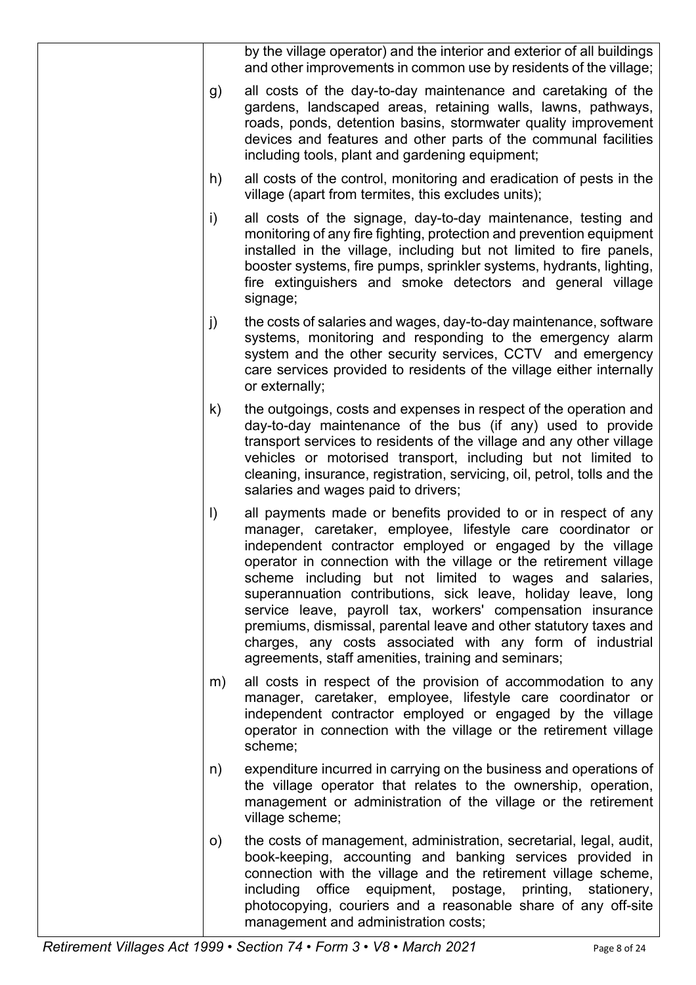|              | by the village operator) and the interior and exterior of all buildings<br>and other improvements in common use by residents of the village;                                                                                                                                                                                                                                                                                                                                                                                                                                                                                                        |
|--------------|-----------------------------------------------------------------------------------------------------------------------------------------------------------------------------------------------------------------------------------------------------------------------------------------------------------------------------------------------------------------------------------------------------------------------------------------------------------------------------------------------------------------------------------------------------------------------------------------------------------------------------------------------------|
| g)           | all costs of the day-to-day maintenance and caretaking of the<br>gardens, landscaped areas, retaining walls, lawns, pathways,<br>roads, ponds, detention basins, stormwater quality improvement<br>devices and features and other parts of the communal facilities<br>including tools, plant and gardening equipment;                                                                                                                                                                                                                                                                                                                               |
| h)           | all costs of the control, monitoring and eradication of pests in the<br>village (apart from termites, this excludes units);                                                                                                                                                                                                                                                                                                                                                                                                                                                                                                                         |
| i)           | all costs of the signage, day-to-day maintenance, testing and<br>monitoring of any fire fighting, protection and prevention equipment<br>installed in the village, including but not limited to fire panels,<br>booster systems, fire pumps, sprinkler systems, hydrants, lighting,<br>fire extinguishers and smoke detectors and general village<br>signage;                                                                                                                                                                                                                                                                                       |
| j)           | the costs of salaries and wages, day-to-day maintenance, software<br>systems, monitoring and responding to the emergency alarm<br>system and the other security services, CCTV and emergency<br>care services provided to residents of the village either internally<br>or externally;                                                                                                                                                                                                                                                                                                                                                              |
| $\mathsf{k}$ | the outgoings, costs and expenses in respect of the operation and<br>day-to-day maintenance of the bus (if any) used to provide<br>transport services to residents of the village and any other village<br>vehicles or motorised transport, including but not limited to<br>cleaning, insurance, registration, servicing, oil, petrol, tolls and the<br>salaries and wages paid to drivers;                                                                                                                                                                                                                                                         |
| $\vert$      | all payments made or benefits provided to or in respect of any<br>manager, caretaker, employee, lifestyle care coordinator or<br>independent contractor employed or engaged by the village<br>operator in connection with the village or the retirement village<br>scheme including but not limited to wages and salaries,<br>superannuation contributions, sick leave, holiday leave, long<br>service leave, payroll tax, workers' compensation insurance<br>premiums, dismissal, parental leave and other statutory taxes and<br>charges, any costs associated with any form of industrial<br>agreements, staff amenities, training and seminars; |
| m)           | all costs in respect of the provision of accommodation to any<br>manager, caretaker, employee, lifestyle care coordinator or<br>independent contractor employed or engaged by the village<br>operator in connection with the village or the retirement village<br>scheme;                                                                                                                                                                                                                                                                                                                                                                           |
| n)           | expenditure incurred in carrying on the business and operations of<br>the village operator that relates to the ownership, operation,<br>management or administration of the village or the retirement<br>village scheme;                                                                                                                                                                                                                                                                                                                                                                                                                            |
| $\circ)$     | the costs of management, administration, secretarial, legal, audit,<br>book-keeping, accounting and banking services provided in<br>connection with the village and the retirement village scheme,<br>including office equipment, postage, printing,<br>stationery,<br>photocopying, couriers and a reasonable share of any off-site<br>management and administration costs;                                                                                                                                                                                                                                                                        |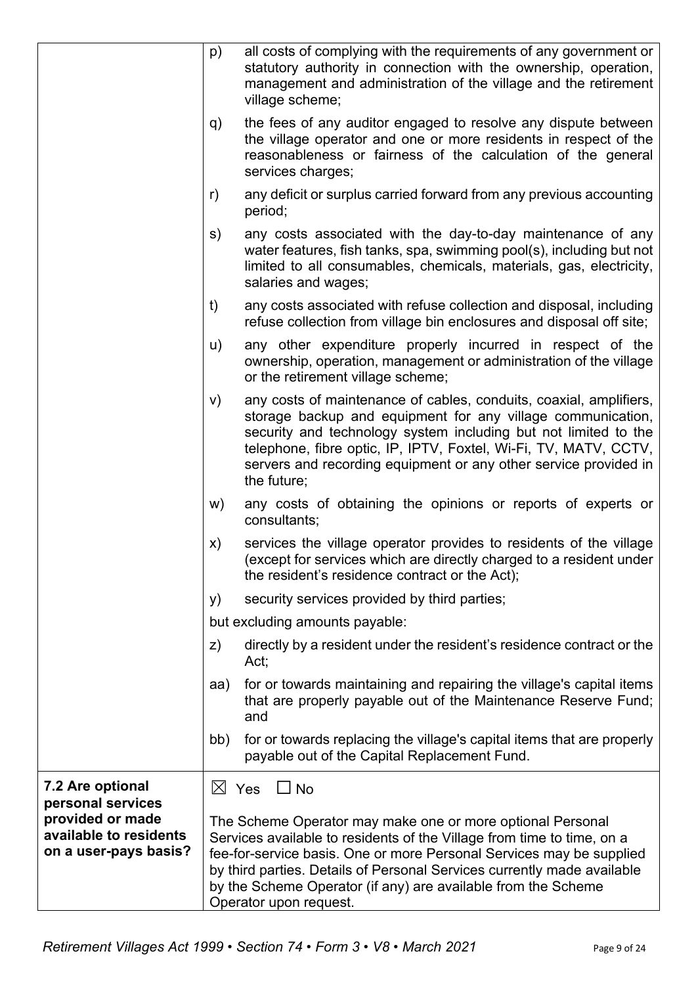|                                       | p)  | all costs of complying with the requirements of any government or<br>statutory authority in connection with the ownership, operation,<br>management and administration of the village and the retirement<br>village scheme;                                                                                                                                 |
|---------------------------------------|-----|-------------------------------------------------------------------------------------------------------------------------------------------------------------------------------------------------------------------------------------------------------------------------------------------------------------------------------------------------------------|
|                                       | q)  | the fees of any auditor engaged to resolve any dispute between<br>the village operator and one or more residents in respect of the<br>reasonableness or fairness of the calculation of the general<br>services charges;                                                                                                                                     |
|                                       | r)  | any deficit or surplus carried forward from any previous accounting<br>period;                                                                                                                                                                                                                                                                              |
|                                       | s)  | any costs associated with the day-to-day maintenance of any<br>water features, fish tanks, spa, swimming pool(s), including but not<br>limited to all consumables, chemicals, materials, gas, electricity,<br>salaries and wages;                                                                                                                           |
|                                       | t)  | any costs associated with refuse collection and disposal, including<br>refuse collection from village bin enclosures and disposal off site;                                                                                                                                                                                                                 |
|                                       | u)  | any other expenditure properly incurred in respect of the<br>ownership, operation, management or administration of the village<br>or the retirement village scheme;                                                                                                                                                                                         |
|                                       | V)  | any costs of maintenance of cables, conduits, coaxial, amplifiers,<br>storage backup and equipment for any village communication,<br>security and technology system including but not limited to the<br>telephone, fibre optic, IP, IPTV, Foxtel, Wi-Fi, TV, MATV, CCTV,<br>servers and recording equipment or any other service provided in<br>the future; |
|                                       | w)  | any costs of obtaining the opinions or reports of experts or<br>consultants;                                                                                                                                                                                                                                                                                |
|                                       | X)  | services the village operator provides to residents of the village<br>(except for services which are directly charged to a resident under<br>the resident's residence contract or the Act);                                                                                                                                                                 |
|                                       | y)  | security services provided by third parties;                                                                                                                                                                                                                                                                                                                |
|                                       |     | but excluding amounts payable:                                                                                                                                                                                                                                                                                                                              |
|                                       | Z)  | directly by a resident under the resident's residence contract or the<br>Act;                                                                                                                                                                                                                                                                               |
|                                       | aa) | for or towards maintaining and repairing the village's capital items<br>that are properly payable out of the Maintenance Reserve Fund;<br>and                                                                                                                                                                                                               |
|                                       | bb) | for or towards replacing the village's capital items that are properly<br>payable out of the Capital Replacement Fund.                                                                                                                                                                                                                                      |
| 7.2 Are optional                      |     | $\boxtimes$ Yes<br>$\Box$ No                                                                                                                                                                                                                                                                                                                                |
| personal services<br>provided or made |     | The Scheme Operator may make one or more optional Personal                                                                                                                                                                                                                                                                                                  |
| available to residents                |     | Services available to residents of the Village from time to time, on a                                                                                                                                                                                                                                                                                      |
| on a user-pays basis?                 |     | fee-for-service basis. One or more Personal Services may be supplied                                                                                                                                                                                                                                                                                        |
|                                       |     | by third parties. Details of Personal Services currently made available<br>by the Scheme Operator (if any) are available from the Scheme                                                                                                                                                                                                                    |
|                                       |     | Operator upon request.                                                                                                                                                                                                                                                                                                                                      |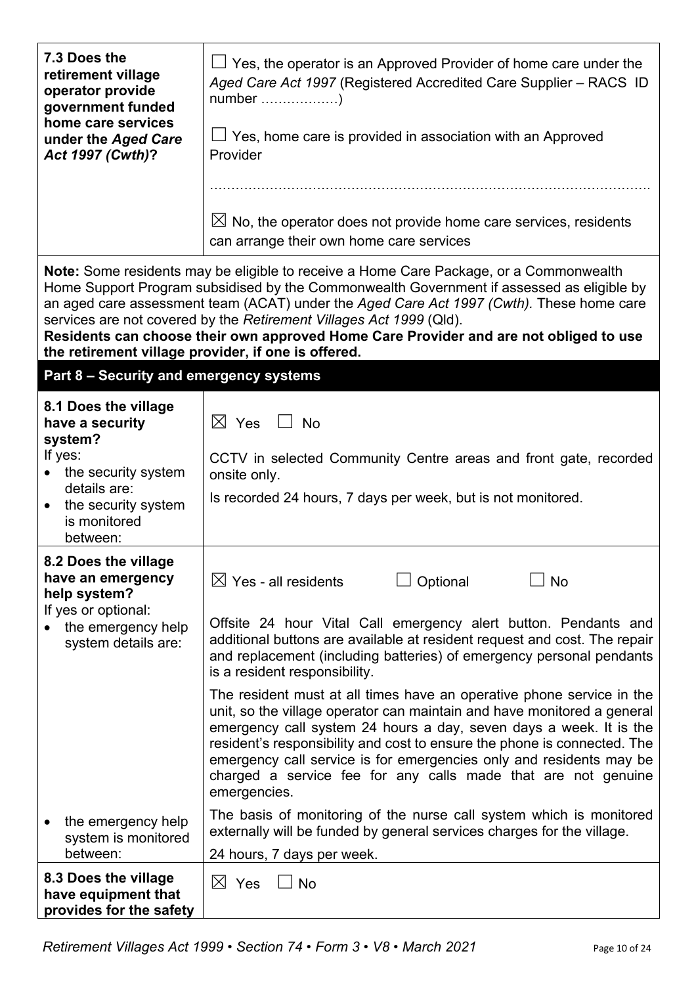| 7.3 Does the<br>retirement village<br>operator provide<br>government funded<br>home care services | $\Box$ Yes, the operator is an Approved Provider of home care under the<br>Aged Care Act 1997 (Registered Accredited Care Supplier - RACS ID                                                                                                                                                                                                                                                                                                                                                           |  |  |
|---------------------------------------------------------------------------------------------------|--------------------------------------------------------------------------------------------------------------------------------------------------------------------------------------------------------------------------------------------------------------------------------------------------------------------------------------------------------------------------------------------------------------------------------------------------------------------------------------------------------|--|--|
| under the Aged Care<br>Act 1997 (Cwth)?                                                           | $\Box$ Yes, home care is provided in association with an Approved<br>Provider                                                                                                                                                                                                                                                                                                                                                                                                                          |  |  |
|                                                                                                   |                                                                                                                                                                                                                                                                                                                                                                                                                                                                                                        |  |  |
|                                                                                                   | $\boxtimes$ No, the operator does not provide home care services, residents<br>can arrange their own home care services                                                                                                                                                                                                                                                                                                                                                                                |  |  |
|                                                                                                   | Note: Some residents may be eligible to receive a Home Care Package, or a Commonwealth<br>Home Support Program subsidised by the Commonwealth Government if assessed as eligible by<br>an aged care assessment team (ACAT) under the Aged Care Act 1997 (Cwth). These home care<br>services are not covered by the Retirement Villages Act 1999 (Qld).<br>Residents can choose their own approved Home Care Provider and are not obliged to use<br>the retirement village provider, if one is offered. |  |  |
| Part 8 - Security and emergency systems                                                           |                                                                                                                                                                                                                                                                                                                                                                                                                                                                                                        |  |  |
| 8.1 Does the village<br>have a security<br>system?                                                | $\boxtimes$ Yes<br>$\Box$ No                                                                                                                                                                                                                                                                                                                                                                                                                                                                           |  |  |
| If yes:<br>the security system                                                                    | CCTV in selected Community Centre areas and front gate, recorded<br>onsite only.                                                                                                                                                                                                                                                                                                                                                                                                                       |  |  |
| details are:<br>the security system<br>$\bullet$<br>is monitored<br>between:                      | Is recorded 24 hours, 7 days per week, but is not monitored.                                                                                                                                                                                                                                                                                                                                                                                                                                           |  |  |
| 8.2 Does the village<br>have an emergency<br>help system?                                         | 」No<br>$\boxtimes$ Yes - all residents<br>Optional                                                                                                                                                                                                                                                                                                                                                                                                                                                     |  |  |
| If yes or optional:<br>the emergency help<br>system details are:                                  | Offsite 24 hour Vital Call emergency alert button. Pendants and<br>additional buttons are available at resident request and cost. The repair<br>and replacement (including batteries) of emergency personal pendants<br>is a resident responsibility.                                                                                                                                                                                                                                                  |  |  |
|                                                                                                   | The resident must at all times have an operative phone service in the<br>unit, so the village operator can maintain and have monitored a general<br>emergency call system 24 hours a day, seven days a week. It is the<br>resident's responsibility and cost to ensure the phone is connected. The<br>emergency call service is for emergencies only and residents may be<br>charged a service fee for any calls made that are not genuine<br>emergencies.                                             |  |  |
| the emergency help<br>system is monitored                                                         | The basis of monitoring of the nurse call system which is monitored<br>externally will be funded by general services charges for the village.                                                                                                                                                                                                                                                                                                                                                          |  |  |
| between:                                                                                          | 24 hours, 7 days per week.                                                                                                                                                                                                                                                                                                                                                                                                                                                                             |  |  |
| 8.3 Does the village<br>have equipment that<br>provides for the safety                            | $\boxtimes$ Yes<br>$\Box$ No                                                                                                                                                                                                                                                                                                                                                                                                                                                                           |  |  |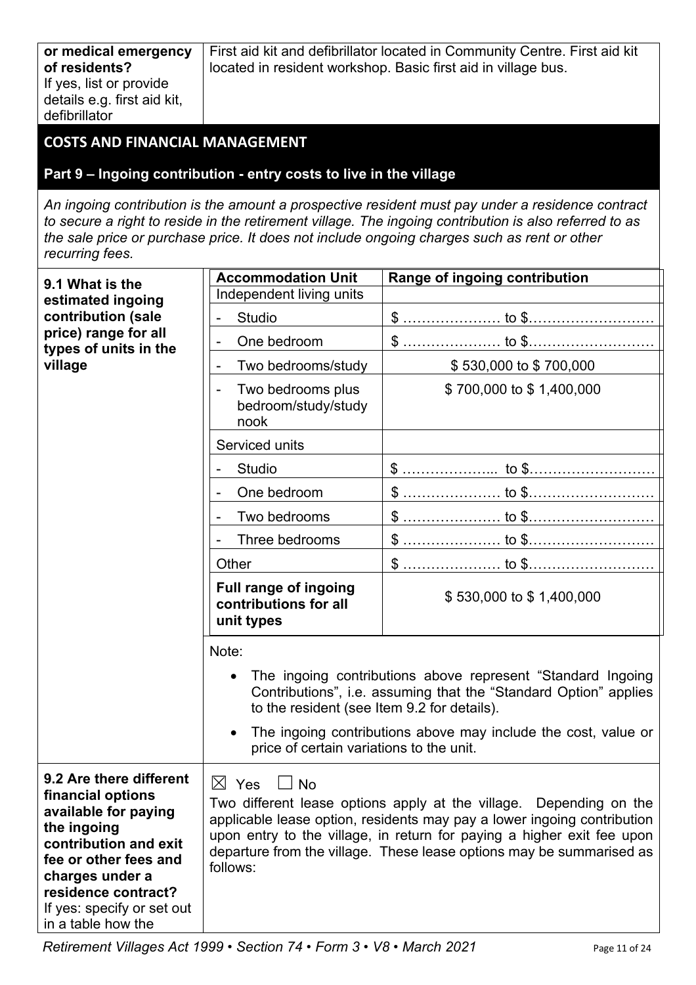First aid kit and defibrillator located in Community Centre. First aid kit located in resident workshop. Basic first aid in village bus.

# **COSTS AND FINANCIAL MANAGEMENT**

#### **Part 9 – Ingoing contribution - entry costs to live in the village**

*An ingoing contribution is the amount a prospective resident must pay under a residence contract to secure a right to reside in the retirement village. The ingoing contribution is also referred to as the sale price or purchase price. It does not include ongoing charges such as rent or other recurring fees.*

| 9.1 What is the                                                                                                                                                                                                                     | <b>Accommodation Unit</b>                                                                        | Range of ingoing contribution                                                                                                                                                                                                                                                                   |  |  |
|-------------------------------------------------------------------------------------------------------------------------------------------------------------------------------------------------------------------------------------|--------------------------------------------------------------------------------------------------|-------------------------------------------------------------------------------------------------------------------------------------------------------------------------------------------------------------------------------------------------------------------------------------------------|--|--|
| estimated ingoing                                                                                                                                                                                                                   | Independent living units                                                                         |                                                                                                                                                                                                                                                                                                 |  |  |
| contribution (sale                                                                                                                                                                                                                  | <b>Studio</b><br>$\overline{a}$                                                                  |                                                                                                                                                                                                                                                                                                 |  |  |
| price) range for all<br>types of units in the                                                                                                                                                                                       | One bedroom<br>$\qquad \qquad \blacksquare$                                                      |                                                                                                                                                                                                                                                                                                 |  |  |
| village                                                                                                                                                                                                                             | Two bedrooms/study                                                                               | \$530,000 to \$700,000                                                                                                                                                                                                                                                                          |  |  |
|                                                                                                                                                                                                                                     | Two bedrooms plus<br>$\overline{a}$<br>bedroom/study/study<br>nook                               | \$700,000 to \$1,400,000                                                                                                                                                                                                                                                                        |  |  |
|                                                                                                                                                                                                                                     | Serviced units                                                                                   |                                                                                                                                                                                                                                                                                                 |  |  |
|                                                                                                                                                                                                                                     | Studio                                                                                           |                                                                                                                                                                                                                                                                                                 |  |  |
|                                                                                                                                                                                                                                     | One bedroom                                                                                      |                                                                                                                                                                                                                                                                                                 |  |  |
|                                                                                                                                                                                                                                     | Two bedrooms                                                                                     |                                                                                                                                                                                                                                                                                                 |  |  |
|                                                                                                                                                                                                                                     | Three bedrooms                                                                                   |                                                                                                                                                                                                                                                                                                 |  |  |
|                                                                                                                                                                                                                                     | Other                                                                                            |                                                                                                                                                                                                                                                                                                 |  |  |
|                                                                                                                                                                                                                                     | <b>Full range of ingoing</b><br>contributions for all<br>unit types                              | \$530,000 to \$1,400,000                                                                                                                                                                                                                                                                        |  |  |
|                                                                                                                                                                                                                                     | Note:<br>to the resident (see Item 9.2 for details).<br>price of certain variations to the unit. | The ingoing contributions above represent "Standard Ingoing<br>Contributions", i.e. assuming that the "Standard Option" applies<br>The ingoing contributions above may include the cost, value or                                                                                               |  |  |
| 9.2 Are there different<br>financial options<br>available for paying<br>the ingoing<br>contribution and exit<br>fee or other fees and<br>charges under a<br>residence contract?<br>If yes: specify or set out<br>in a table how the | $\boxtimes$<br>Yes<br><b>No</b><br>follows:                                                      | Two different lease options apply at the village. Depending on the<br>applicable lease option, residents may pay a lower ingoing contribution<br>upon entry to the village, in return for paying a higher exit fee upon<br>departure from the village. These lease options may be summarised as |  |  |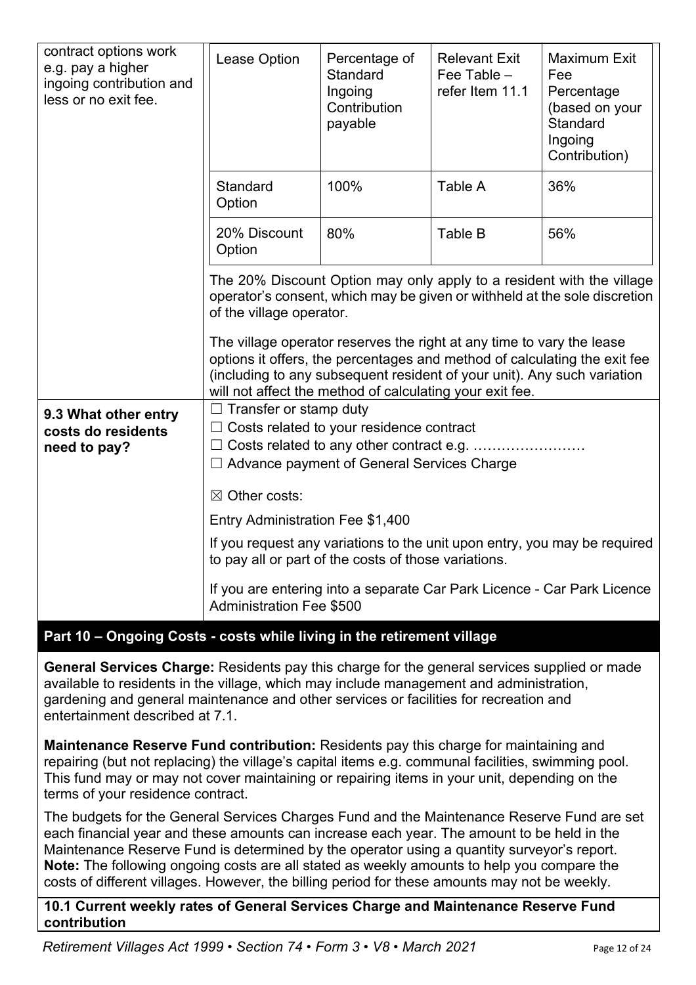| contract options work<br>e.g. pay a higher<br>ingoing contribution and<br>less or no exit fee. | Lease Option                                                                                                                                                                                                                                                                                                                                                                        | Percentage of<br>Standard<br>Ingoing<br>Contribution<br>payable | <b>Relevant Exit</b><br>Fee Table -<br>refer Item 11.1 | <b>Maximum Exit</b><br>Fee<br>Percentage<br>(based on your<br>Standard<br>Ingoing<br>Contribution) |  |
|------------------------------------------------------------------------------------------------|-------------------------------------------------------------------------------------------------------------------------------------------------------------------------------------------------------------------------------------------------------------------------------------------------------------------------------------------------------------------------------------|-----------------------------------------------------------------|--------------------------------------------------------|----------------------------------------------------------------------------------------------------|--|
|                                                                                                | Standard<br>Option                                                                                                                                                                                                                                                                                                                                                                  | 100%                                                            | Table A                                                | 36%                                                                                                |  |
|                                                                                                | 20% Discount<br>Option                                                                                                                                                                                                                                                                                                                                                              | 80%                                                             | Table B                                                | 56%                                                                                                |  |
|                                                                                                | The 20% Discount Option may only apply to a resident with the village<br>operator's consent, which may be given or withheld at the sole discretion<br>The village operator reserves the right at any time to vary the lease<br>options it offers, the percentages and method of calculating the exit fee<br>(including to any subsequent resident of your unit). Any such variation |                                                                 |                                                        |                                                                                                    |  |
| 9.3 What other entry<br>costs do residents<br>need to pay?                                     | $\Box$ Transfer or stamp duty<br>$\Box$ Costs related to your residence contract<br>□ Costs related to any other contract e.g.<br>Advance payment of General Services Charge                                                                                                                                                                                                        |                                                                 |                                                        |                                                                                                    |  |
|                                                                                                | $\boxtimes$ Other costs:                                                                                                                                                                                                                                                                                                                                                            |                                                                 |                                                        |                                                                                                    |  |
|                                                                                                | Entry Administration Fee \$1,400<br>If you request any variations to the unit upon entry, you may be required<br>to pay all or part of the costs of those variations.<br>If you are entering into a separate Car Park Licence - Car Park Licence<br><b>Administration Fee \$500</b>                                                                                                 |                                                                 |                                                        |                                                                                                    |  |
|                                                                                                |                                                                                                                                                                                                                                                                                                                                                                                     |                                                                 |                                                        |                                                                                                    |  |
|                                                                                                |                                                                                                                                                                                                                                                                                                                                                                                     |                                                                 |                                                        |                                                                                                    |  |

# **Part 10 – Ongoing Costs - costs while living in the retirement village**

**General Services Charge:** Residents pay this charge for the general services supplied or made available to residents in the village, which may include management and administration, gardening and general maintenance and other services or facilities for recreation and entertainment described at 7.1.

**Maintenance Reserve Fund contribution:** Residents pay this charge for maintaining and repairing (but not replacing) the village's capital items e.g. communal facilities, swimming pool. This fund may or may not cover maintaining or repairing items in your unit, depending on the terms of your residence contract.

The budgets for the General Services Charges Fund and the Maintenance Reserve Fund are set each financial year and these amounts can increase each year. The amount to be held in the Maintenance Reserve Fund is determined by the operator using a quantity surveyor's report. **Note:** The following ongoing costs are all stated as weekly amounts to help you compare the costs of different villages. However, the billing period for these amounts may not be weekly.

**10.1 Current weekly rates of General Services Charge and Maintenance Reserve Fund contribution**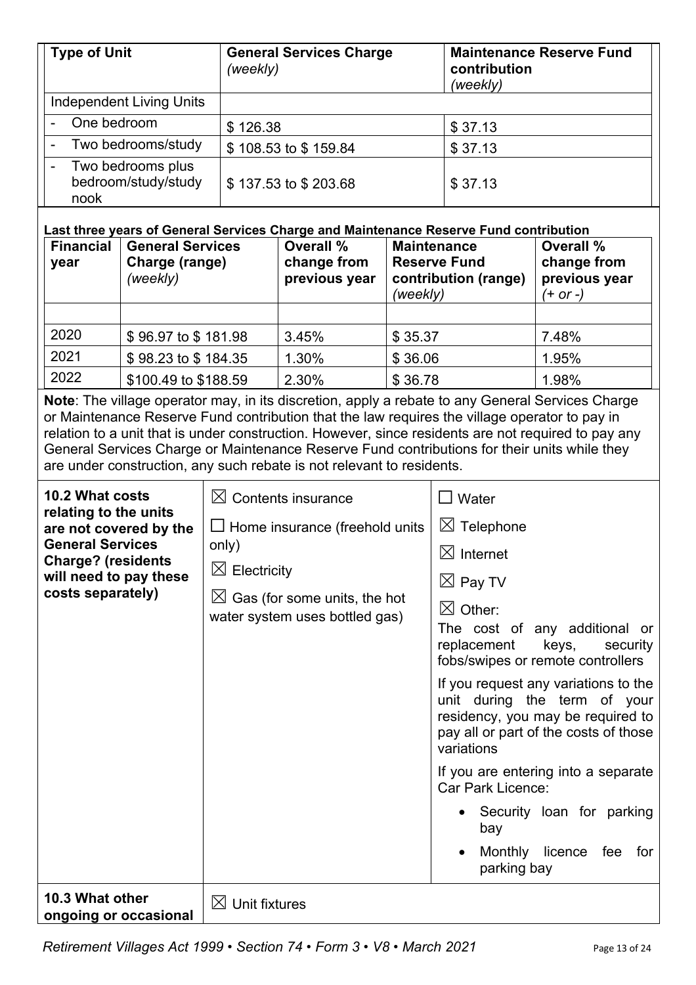| <b>Type of Unit</b>                                   | <b>General Services Charge</b><br>(weekly) | <b>Maintenance Reserve Fund</b><br>contribution<br>(weekly) |
|-------------------------------------------------------|--------------------------------------------|-------------------------------------------------------------|
| <b>Independent Living Units</b>                       |                                            |                                                             |
| One bedroom<br>$\blacksquare$                         | \$126.38                                   | \$37.13                                                     |
| Two bedrooms/study<br>$\blacksquare$                  | \$108.53 to \$159.84                       | \$37.13                                                     |
| Two bedrooms plus<br>-<br>bedroom/study/study<br>nook | \$137.53 to \$203.68                       | \$37.13                                                     |

#### **Last three years of General Services Charge and Maintenance Reserve Fund contribution**

| <b>Financial</b><br>year | <b>General Services</b><br>Charge (range)<br>(weekly) | <b>Overall %</b><br>change from<br>previous year | <b>Maintenance</b><br><b>Reserve Fund</b><br>contribution (range)<br>(weekly) | Overall %<br>change from<br>previous year<br>$(+ or -)$ |
|--------------------------|-------------------------------------------------------|--------------------------------------------------|-------------------------------------------------------------------------------|---------------------------------------------------------|
|                          |                                                       |                                                  |                                                                               |                                                         |
| 2020                     | \$96.97 to \$181.98                                   | 3.45%                                            | \$35.37                                                                       | 7.48%                                                   |
| 2021                     | \$98.23 to \$184.35                                   | 1.30%                                            | \$36.06                                                                       | 1.95%                                                   |
| 2022                     | \$100.49 to \$188.59                                  | 2.30%                                            | \$36.78                                                                       | 1.98%                                                   |

**Note**: The village operator may, in its discretion, apply a rebate to any General Services Charge or Maintenance Reserve Fund contribution that the law requires the village operator to pay in relation to a unit that is under construction. However, since residents are not required to pay any General Services Charge or Maintenance Reserve Fund contributions for their units while they are under construction, any such rebate is not relevant to residents.

| 10.2 What costs<br>relating to the units<br>are not covered by the<br><b>General Services</b><br><b>Charge? (residents</b><br>will need to pay these<br>costs separately) | $\boxtimes$ Contents insurance<br>$\Box$ Home insurance (freehold units<br>only)<br>$\boxtimes$ Electricity<br>$\boxtimes$ Gas (for some units, the hot<br>water system uses bottled gas) | $\Box$ Water<br>$\boxtimes$ Telephone<br>$\boxtimes$ Internet<br>$\boxtimes$ Pay TV<br>$\boxtimes$ Other:<br>The cost of any additional or<br>replacement<br>keys,<br>security<br>fobs/swipes or remote controllers<br>If you request any variations to the<br>unit during the term of your<br>residency, you may be required to<br>pay all or part of the costs of those<br>variations<br>If you are entering into a separate<br><b>Car Park Licence:</b><br>• Security loan for parking<br>bay<br>Monthly licence<br>fee<br>for<br>parking bay |
|---------------------------------------------------------------------------------------------------------------------------------------------------------------------------|-------------------------------------------------------------------------------------------------------------------------------------------------------------------------------------------|--------------------------------------------------------------------------------------------------------------------------------------------------------------------------------------------------------------------------------------------------------------------------------------------------------------------------------------------------------------------------------------------------------------------------------------------------------------------------------------------------------------------------------------------------|
| 10.3 What other<br>ongoing or occasional                                                                                                                                  | $\boxtimes$ Unit fixtures                                                                                                                                                                 |                                                                                                                                                                                                                                                                                                                                                                                                                                                                                                                                                  |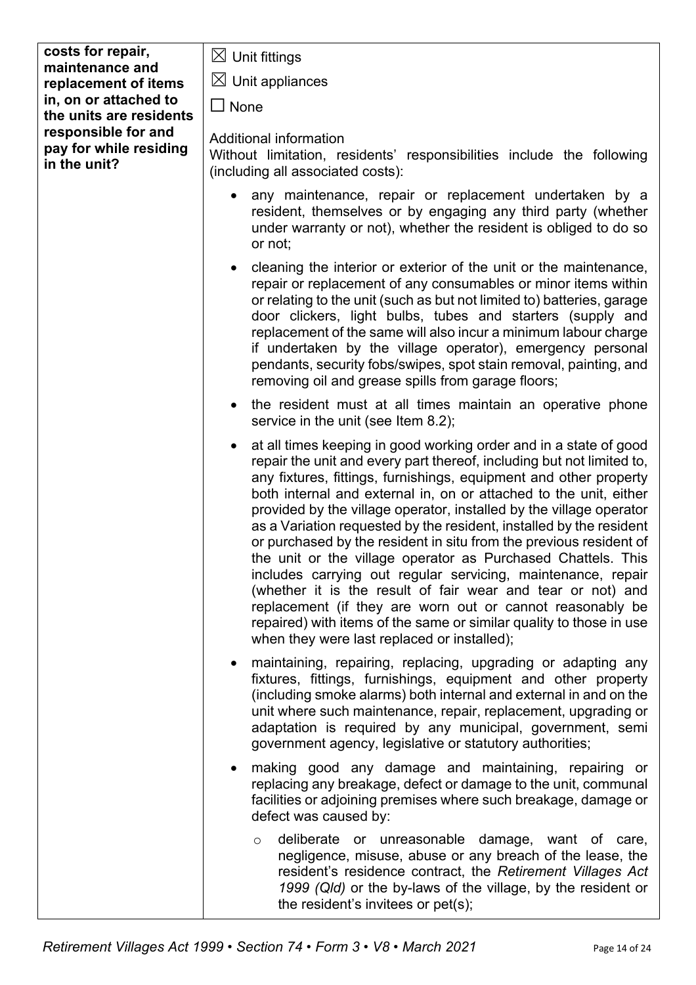| costs for repair,                                             | $\boxtimes$ Unit fittings                                                                                                                                                                                                                                                                                                                                                                                                                                                                                                                                                                                                                                                                                                                                                                                                                                                                  |  |  |
|---------------------------------------------------------------|--------------------------------------------------------------------------------------------------------------------------------------------------------------------------------------------------------------------------------------------------------------------------------------------------------------------------------------------------------------------------------------------------------------------------------------------------------------------------------------------------------------------------------------------------------------------------------------------------------------------------------------------------------------------------------------------------------------------------------------------------------------------------------------------------------------------------------------------------------------------------------------------|--|--|
| maintenance and                                               |                                                                                                                                                                                                                                                                                                                                                                                                                                                                                                                                                                                                                                                                                                                                                                                                                                                                                            |  |  |
| replacement of items                                          | $\boxtimes$ Unit appliances                                                                                                                                                                                                                                                                                                                                                                                                                                                                                                                                                                                                                                                                                                                                                                                                                                                                |  |  |
| in, on or attached to<br>the units are residents              | $\Box$ None                                                                                                                                                                                                                                                                                                                                                                                                                                                                                                                                                                                                                                                                                                                                                                                                                                                                                |  |  |
| responsible for and<br>pay for while residing<br>in the unit? | Additional information<br>Without limitation, residents' responsibilities include the following<br>(including all associated costs):                                                                                                                                                                                                                                                                                                                                                                                                                                                                                                                                                                                                                                                                                                                                                       |  |  |
|                                                               | any maintenance, repair or replacement undertaken by a<br>resident, themselves or by engaging any third party (whether<br>under warranty or not), whether the resident is obliged to do so<br>or not;                                                                                                                                                                                                                                                                                                                                                                                                                                                                                                                                                                                                                                                                                      |  |  |
|                                                               | cleaning the interior or exterior of the unit or the maintenance,<br>repair or replacement of any consumables or minor items within<br>or relating to the unit (such as but not limited to) batteries, garage<br>door clickers, light bulbs, tubes and starters (supply and<br>replacement of the same will also incur a minimum labour charge<br>if undertaken by the village operator), emergency personal<br>pendants, security fobs/swipes, spot stain removal, painting, and<br>removing oil and grease spills from garage floors;                                                                                                                                                                                                                                                                                                                                                    |  |  |
|                                                               | the resident must at all times maintain an operative phone<br>service in the unit (see Item 8.2);                                                                                                                                                                                                                                                                                                                                                                                                                                                                                                                                                                                                                                                                                                                                                                                          |  |  |
|                                                               | at all times keeping in good working order and in a state of good<br>repair the unit and every part thereof, including but not limited to,<br>any fixtures, fittings, furnishings, equipment and other property<br>both internal and external in, on or attached to the unit, either<br>provided by the village operator, installed by the village operator<br>as a Variation requested by the resident, installed by the resident<br>or purchased by the resident in situ from the previous resident of<br>the unit or the village operator as Purchased Chattels. This<br>includes carrying out regular servicing, maintenance, repair<br>(whether it is the result of fair wear and tear or not) and<br>replacement (if they are worn out or cannot reasonably be<br>repaired) with items of the same or similar quality to those in use<br>when they were last replaced or installed); |  |  |
|                                                               | maintaining, repairing, replacing, upgrading or adapting any<br>fixtures, fittings, furnishings, equipment and other property<br>(including smoke alarms) both internal and external in and on the<br>unit where such maintenance, repair, replacement, upgrading or<br>adaptation is required by any municipal, government, semi<br>government agency, legislative or statutory authorities;                                                                                                                                                                                                                                                                                                                                                                                                                                                                                              |  |  |
|                                                               | making good any damage and maintaining, repairing or<br>replacing any breakage, defect or damage to the unit, communal<br>facilities or adjoining premises where such breakage, damage or<br>defect was caused by:                                                                                                                                                                                                                                                                                                                                                                                                                                                                                                                                                                                                                                                                         |  |  |
|                                                               | deliberate or unreasonable damage, want of care,<br>$\circ$<br>negligence, misuse, abuse or any breach of the lease, the<br>resident's residence contract, the Retirement Villages Act<br>1999 (Qld) or the by-laws of the village, by the resident or<br>the resident's invitees or pet(s);                                                                                                                                                                                                                                                                                                                                                                                                                                                                                                                                                                                               |  |  |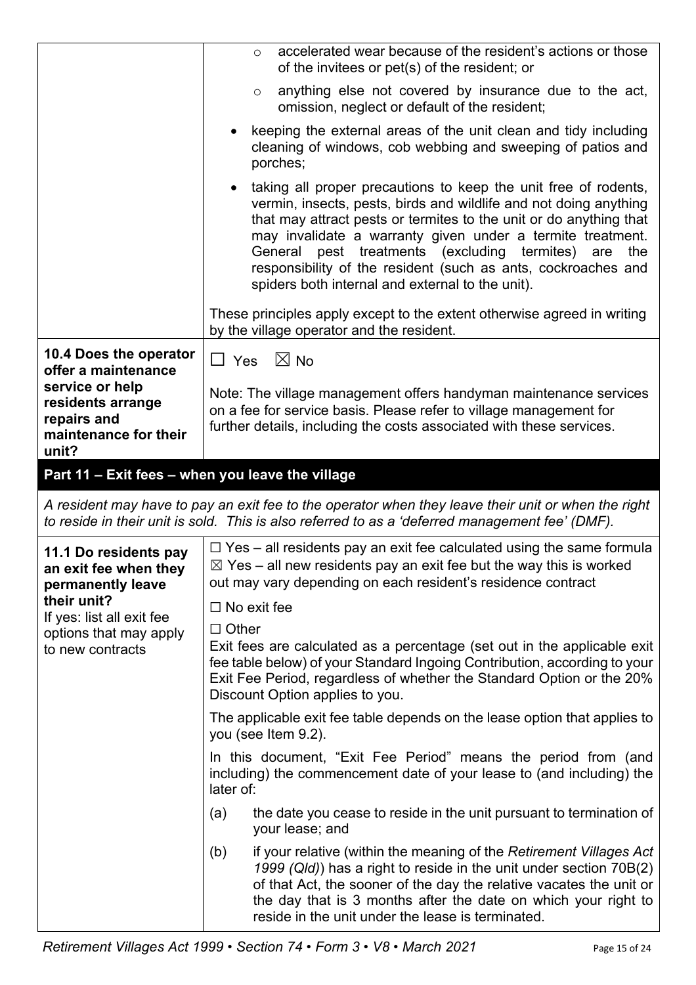|                                                                              | accelerated wear because of the resident's actions or those<br>$\circ$<br>of the invitees or pet(s) of the resident; or                                                                                                                                                                                                                                                                                                                                  |  |  |
|------------------------------------------------------------------------------|----------------------------------------------------------------------------------------------------------------------------------------------------------------------------------------------------------------------------------------------------------------------------------------------------------------------------------------------------------------------------------------------------------------------------------------------------------|--|--|
|                                                                              | anything else not covered by insurance due to the act,<br>$\circ$<br>omission, neglect or default of the resident;                                                                                                                                                                                                                                                                                                                                       |  |  |
|                                                                              | keeping the external areas of the unit clean and tidy including<br>$\bullet$<br>cleaning of windows, cob webbing and sweeping of patios and<br>porches;                                                                                                                                                                                                                                                                                                  |  |  |
|                                                                              | taking all proper precautions to keep the unit free of rodents,<br>vermin, insects, pests, birds and wildlife and not doing anything<br>that may attract pests or termites to the unit or do anything that<br>may invalidate a warranty given under a termite treatment.<br>General pest treatments (excluding termites) are<br>the<br>responsibility of the resident (such as ants, cockroaches and<br>spiders both internal and external to the unit). |  |  |
|                                                                              | These principles apply except to the extent otherwise agreed in writing<br>by the village operator and the resident.                                                                                                                                                                                                                                                                                                                                     |  |  |
| 10.4 Does the operator<br>offer a maintenance                                | $\Box$ Yes $\boxtimes$ No                                                                                                                                                                                                                                                                                                                                                                                                                                |  |  |
| service or help<br>residents arrange<br>repairs and<br>maintenance for their | Note: The village management offers handyman maintenance services<br>on a fee for service basis. Please refer to village management for<br>further details, including the costs associated with these services.                                                                                                                                                                                                                                          |  |  |
| unit?                                                                        |                                                                                                                                                                                                                                                                                                                                                                                                                                                          |  |  |
| Part 11 - Exit fees - when you leave the village                             |                                                                                                                                                                                                                                                                                                                                                                                                                                                          |  |  |
|                                                                              | A resident may have to pay an exit fee to the operator when they leave their unit or when the right<br>to reside in their unit is sold. This is also referred to as a 'deferred management fee' (DMF).                                                                                                                                                                                                                                                   |  |  |
| 11.1 Do residents pay<br>an exit fee when they<br>permanently leave          | $\Box$ Yes – all residents pay an exit fee calculated using the same formula<br>$\boxtimes$ Yes – all new residents pay an exit fee but the way this is worked<br>out may vary depending on each resident's residence contract                                                                                                                                                                                                                           |  |  |
| their unit?<br>If yes: list all exit fee                                     | $\Box$ No exit fee                                                                                                                                                                                                                                                                                                                                                                                                                                       |  |  |
| options that may apply<br>to new contracts                                   | $\Box$ Other<br>Exit fees are calculated as a percentage (set out in the applicable exit<br>fee table below) of your Standard Ingoing Contribution, according to your<br>Exit Fee Period, regardless of whether the Standard Option or the 20%<br>Discount Option applies to you.                                                                                                                                                                        |  |  |
|                                                                              | The applicable exit fee table depends on the lease option that applies to<br>you (see Item 9.2).                                                                                                                                                                                                                                                                                                                                                         |  |  |
|                                                                              | In this document, "Exit Fee Period" means the period from (and<br>including) the commencement date of your lease to (and including) the<br>later of:                                                                                                                                                                                                                                                                                                     |  |  |
|                                                                              | the date you cease to reside in the unit pursuant to termination of<br>(a)<br>your lease; and                                                                                                                                                                                                                                                                                                                                                            |  |  |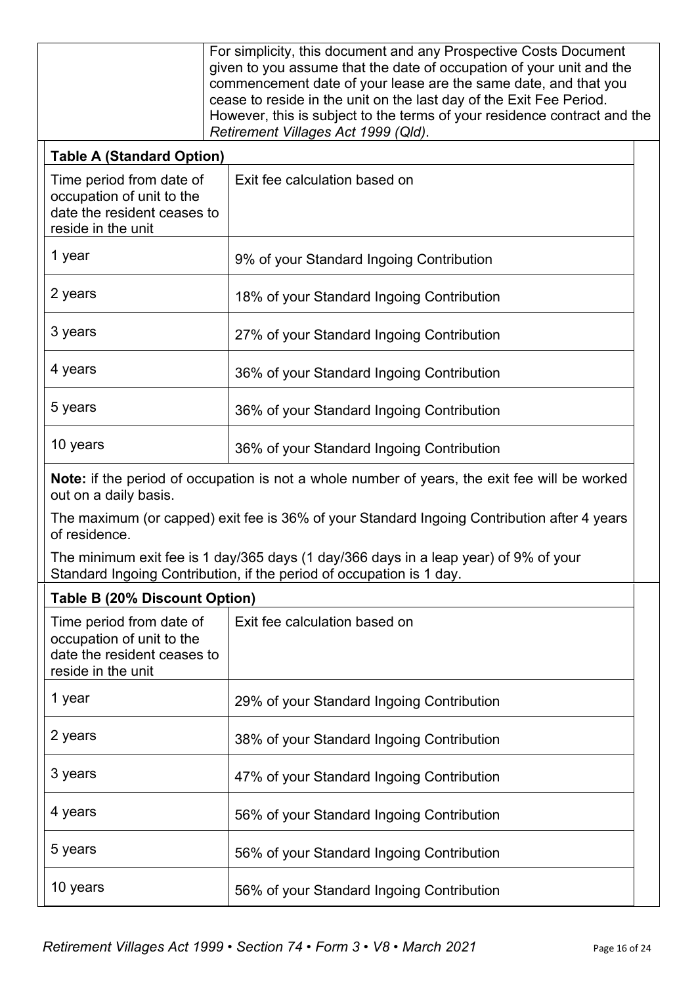|                                                                                                                                                              | For simplicity, this document and any Prospective Costs Document<br>given to you assume that the date of occupation of your unit and the<br>commencement date of your lease are the same date, and that you<br>cease to reside in the unit on the last day of the Exit Fee Period.<br>However, this is subject to the terms of your residence contract and the<br>Retirement Villages Act 1999 (Qld). |  |
|--------------------------------------------------------------------------------------------------------------------------------------------------------------|-------------------------------------------------------------------------------------------------------------------------------------------------------------------------------------------------------------------------------------------------------------------------------------------------------------------------------------------------------------------------------------------------------|--|
| <b>Table A (Standard Option)</b>                                                                                                                             |                                                                                                                                                                                                                                                                                                                                                                                                       |  |
| Time period from date of<br>occupation of unit to the<br>date the resident ceases to<br>reside in the unit                                                   | Exit fee calculation based on                                                                                                                                                                                                                                                                                                                                                                         |  |
| 1 year                                                                                                                                                       | 9% of your Standard Ingoing Contribution                                                                                                                                                                                                                                                                                                                                                              |  |
| 2 years                                                                                                                                                      | 18% of your Standard Ingoing Contribution                                                                                                                                                                                                                                                                                                                                                             |  |
| 3 years                                                                                                                                                      | 27% of your Standard Ingoing Contribution                                                                                                                                                                                                                                                                                                                                                             |  |
| 4 years                                                                                                                                                      | 36% of your Standard Ingoing Contribution                                                                                                                                                                                                                                                                                                                                                             |  |
| 5 years                                                                                                                                                      | 36% of your Standard Ingoing Contribution                                                                                                                                                                                                                                                                                                                                                             |  |
| 10 years                                                                                                                                                     | 36% of your Standard Ingoing Contribution                                                                                                                                                                                                                                                                                                                                                             |  |
| out on a daily basis.                                                                                                                                        | Note: if the period of occupation is not a whole number of years, the exit fee will be worked                                                                                                                                                                                                                                                                                                         |  |
| of residence.                                                                                                                                                | The maximum (or capped) exit fee is 36% of your Standard Ingoing Contribution after 4 years                                                                                                                                                                                                                                                                                                           |  |
| The minimum exit fee is 1 day/365 days (1 day/366 days in a leap year) of 9% of your<br>Standard Ingoing Contribution, if the period of occupation is 1 day. |                                                                                                                                                                                                                                                                                                                                                                                                       |  |
| Table B (20% Discount Option)                                                                                                                                |                                                                                                                                                                                                                                                                                                                                                                                                       |  |
| Time period from date of<br>occupation of unit to the<br>date the resident ceases to<br>reside in the unit                                                   | Exit fee calculation based on                                                                                                                                                                                                                                                                                                                                                                         |  |
| 1 year                                                                                                                                                       | 29% of your Standard Ingoing Contribution                                                                                                                                                                                                                                                                                                                                                             |  |
| 2 years                                                                                                                                                      | 38% of your Standard Ingoing Contribution                                                                                                                                                                                                                                                                                                                                                             |  |
| 3 years                                                                                                                                                      | 47% of your Standard Ingoing Contribution                                                                                                                                                                                                                                                                                                                                                             |  |
| 4 years                                                                                                                                                      | 56% of your Standard Ingoing Contribution                                                                                                                                                                                                                                                                                                                                                             |  |
| 5 years<br>56% of your Standard Ingoing Contribution                                                                                                         |                                                                                                                                                                                                                                                                                                                                                                                                       |  |
| 10 years                                                                                                                                                     | 56% of your Standard Ingoing Contribution                                                                                                                                                                                                                                                                                                                                                             |  |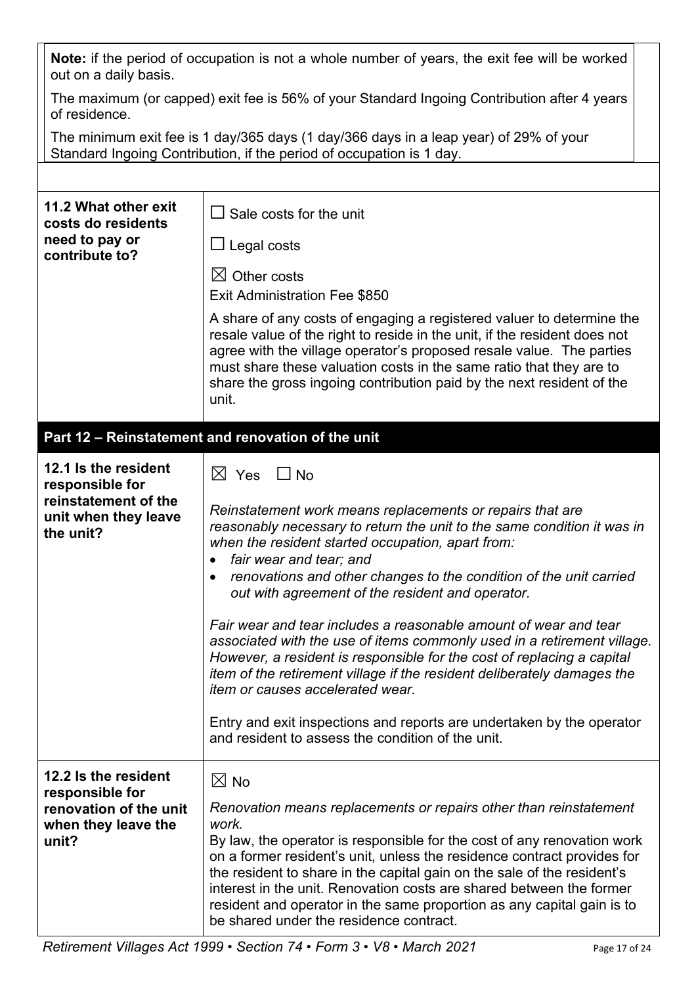| Note: if the period of occupation is not a whole number of years, the exit fee will be worked<br>out on a daily basis. |                                                                                                                                                                                                                                                                                                                                                                                                                                                                                                                                                                                                                                                                                                                                                                                                                                                          |  |  |
|------------------------------------------------------------------------------------------------------------------------|----------------------------------------------------------------------------------------------------------------------------------------------------------------------------------------------------------------------------------------------------------------------------------------------------------------------------------------------------------------------------------------------------------------------------------------------------------------------------------------------------------------------------------------------------------------------------------------------------------------------------------------------------------------------------------------------------------------------------------------------------------------------------------------------------------------------------------------------------------|--|--|
| The maximum (or capped) exit fee is 56% of your Standard Ingoing Contribution after 4 years<br>of residence.           |                                                                                                                                                                                                                                                                                                                                                                                                                                                                                                                                                                                                                                                                                                                                                                                                                                                          |  |  |
|                                                                                                                        | The minimum exit fee is 1 day/365 days (1 day/366 days in a leap year) of 29% of your<br>Standard Ingoing Contribution, if the period of occupation is 1 day.                                                                                                                                                                                                                                                                                                                                                                                                                                                                                                                                                                                                                                                                                            |  |  |
|                                                                                                                        |                                                                                                                                                                                                                                                                                                                                                                                                                                                                                                                                                                                                                                                                                                                                                                                                                                                          |  |  |
| 11.2 What other exit<br>costs do residents<br>need to pay or                                                           | $\Box$ Sale costs for the unit                                                                                                                                                                                                                                                                                                                                                                                                                                                                                                                                                                                                                                                                                                                                                                                                                           |  |  |
| contribute to?                                                                                                         | ∐ Legal costs                                                                                                                                                                                                                                                                                                                                                                                                                                                                                                                                                                                                                                                                                                                                                                                                                                            |  |  |
|                                                                                                                        | $\boxtimes$ Other costs<br><b>Exit Administration Fee \$850</b>                                                                                                                                                                                                                                                                                                                                                                                                                                                                                                                                                                                                                                                                                                                                                                                          |  |  |
|                                                                                                                        | A share of any costs of engaging a registered valuer to determine the<br>resale value of the right to reside in the unit, if the resident does not<br>agree with the village operator's proposed resale value. The parties<br>must share these valuation costs in the same ratio that they are to<br>share the gross ingoing contribution paid by the next resident of the<br>unit.                                                                                                                                                                                                                                                                                                                                                                                                                                                                      |  |  |
|                                                                                                                        | Part 12 - Reinstatement and renovation of the unit                                                                                                                                                                                                                                                                                                                                                                                                                                                                                                                                                                                                                                                                                                                                                                                                       |  |  |
| 12.1 Is the resident<br>responsible for<br>reinstatement of the<br>unit when they leave<br>the unit?                   | $\boxtimes$ Yes $\Box$ No<br>Reinstatement work means replacements or repairs that are<br>reasonably necessary to return the unit to the same condition it was in<br>when the resident started occupation, apart from:<br>fair wear and tear; and<br>renovations and other changes to the condition of the unit carried<br>out with agreement of the resident and operator.<br>Fair wear and tear includes a reasonable amount of wear and tear<br>associated with the use of items commonly used in a retirement village.<br>However, a resident is responsible for the cost of replacing a capital<br>item of the retirement village if the resident deliberately damages the<br><i>item or causes accelerated wear.</i><br>Entry and exit inspections and reports are undertaken by the operator<br>and resident to assess the condition of the unit. |  |  |
| 12.2 Is the resident<br>responsible for<br>renovation of the unit<br>when they leave the<br>unit?                      | $\boxtimes$ No<br>Renovation means replacements or repairs other than reinstatement<br>work.<br>By law, the operator is responsible for the cost of any renovation work<br>on a former resident's unit, unless the residence contract provides for<br>the resident to share in the capital gain on the sale of the resident's<br>interest in the unit. Renovation costs are shared between the former<br>resident and operator in the same proportion as any capital gain is to<br>be shared under the residence contract.                                                                                                                                                                                                                                                                                                                               |  |  |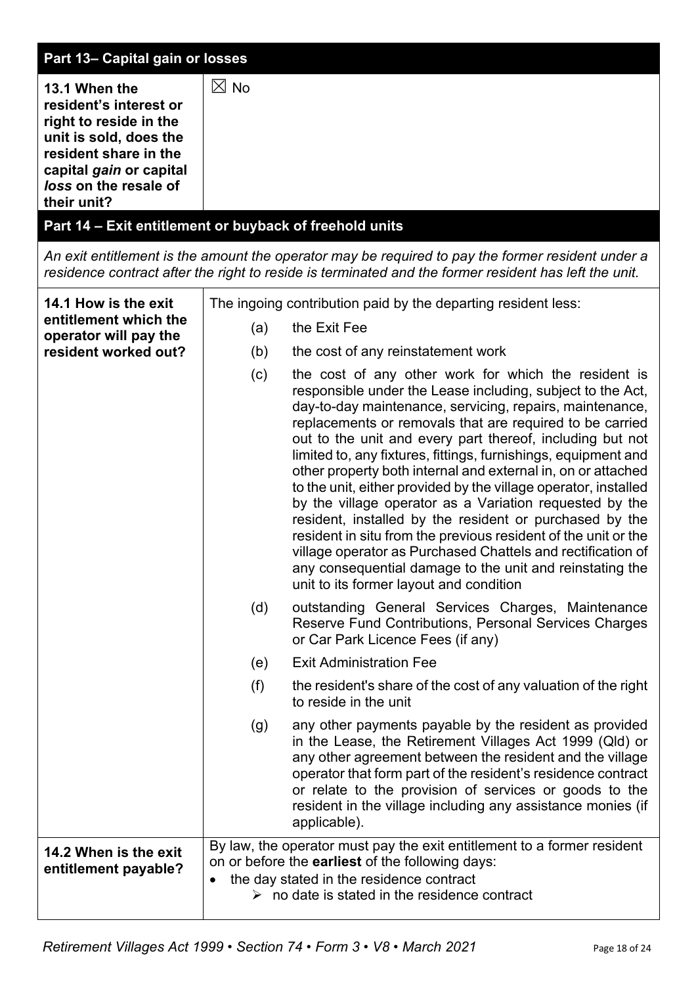| Part 13- Capital gain or losses                                                                                                                                                         |                                                                                                                                                                                                                                                                                                                                                                                                                                                                                                                                                                                                                                                                                                                                                                                                                                                                                   |
|-----------------------------------------------------------------------------------------------------------------------------------------------------------------------------------------|-----------------------------------------------------------------------------------------------------------------------------------------------------------------------------------------------------------------------------------------------------------------------------------------------------------------------------------------------------------------------------------------------------------------------------------------------------------------------------------------------------------------------------------------------------------------------------------------------------------------------------------------------------------------------------------------------------------------------------------------------------------------------------------------------------------------------------------------------------------------------------------|
| 13.1 When the<br>resident's interest or<br>right to reside in the<br>unit is sold, does the<br>resident share in the<br>capital gain or capital<br>loss on the resale of<br>their unit? | $\boxtimes$ No<br>Part 14 - Exit entitlement or buyback of freehold units                                                                                                                                                                                                                                                                                                                                                                                                                                                                                                                                                                                                                                                                                                                                                                                                         |
|                                                                                                                                                                                         | An exit entitlement is the amount the operator may be required to pay the former resident under a<br>residence contract after the right to reside is terminated and the former resident has left the unit.                                                                                                                                                                                                                                                                                                                                                                                                                                                                                                                                                                                                                                                                        |
| 14.1 How is the exit                                                                                                                                                                    | The ingoing contribution paid by the departing resident less:                                                                                                                                                                                                                                                                                                                                                                                                                                                                                                                                                                                                                                                                                                                                                                                                                     |
| entitlement which the<br>operator will pay the                                                                                                                                          | the Exit Fee<br>(a)                                                                                                                                                                                                                                                                                                                                                                                                                                                                                                                                                                                                                                                                                                                                                                                                                                                               |
| resident worked out?                                                                                                                                                                    | the cost of any reinstatement work<br>(b)                                                                                                                                                                                                                                                                                                                                                                                                                                                                                                                                                                                                                                                                                                                                                                                                                                         |
|                                                                                                                                                                                         | the cost of any other work for which the resident is<br>(c)<br>responsible under the Lease including, subject to the Act,<br>day-to-day maintenance, servicing, repairs, maintenance,<br>replacements or removals that are required to be carried<br>out to the unit and every part thereof, including but not<br>limited to, any fixtures, fittings, furnishings, equipment and<br>other property both internal and external in, on or attached<br>to the unit, either provided by the village operator, installed<br>by the village operator as a Variation requested by the<br>resident, installed by the resident or purchased by the<br>resident in situ from the previous resident of the unit or the<br>village operator as Purchased Chattels and rectification of<br>any consequential damage to the unit and reinstating the<br>unit to its former layout and condition |
|                                                                                                                                                                                         | (d)<br>outstanding General Services Charges, Maintenance<br>Reserve Fund Contributions, Personal Services Charges<br>or Car Park Licence Fees (if any)                                                                                                                                                                                                                                                                                                                                                                                                                                                                                                                                                                                                                                                                                                                            |
|                                                                                                                                                                                         | <b>Exit Administration Fee</b><br>(e)                                                                                                                                                                                                                                                                                                                                                                                                                                                                                                                                                                                                                                                                                                                                                                                                                                             |
|                                                                                                                                                                                         | (f)<br>the resident's share of the cost of any valuation of the right<br>to reside in the unit                                                                                                                                                                                                                                                                                                                                                                                                                                                                                                                                                                                                                                                                                                                                                                                    |
|                                                                                                                                                                                         | any other payments payable by the resident as provided<br>(g)<br>in the Lease, the Retirement Villages Act 1999 (Qld) or<br>any other agreement between the resident and the village<br>operator that form part of the resident's residence contract<br>or relate to the provision of services or goods to the<br>resident in the village including any assistance monies (if<br>applicable).                                                                                                                                                                                                                                                                                                                                                                                                                                                                                     |
| 14.2 When is the exit<br>entitlement payable?                                                                                                                                           | By law, the operator must pay the exit entitlement to a former resident<br>on or before the earliest of the following days:<br>the day stated in the residence contract<br>$\triangleright$ no date is stated in the residence contract                                                                                                                                                                                                                                                                                                                                                                                                                                                                                                                                                                                                                                           |
|                                                                                                                                                                                         |                                                                                                                                                                                                                                                                                                                                                                                                                                                                                                                                                                                                                                                                                                                                                                                                                                                                                   |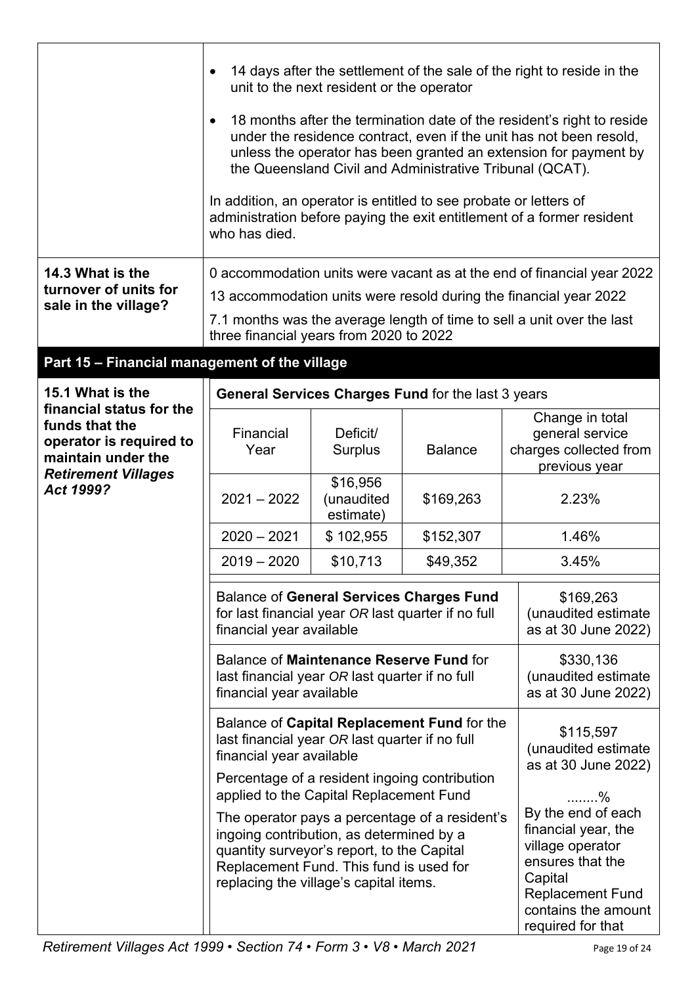|                                                                                                                                        |                                                                                                                                                                                                                                                                               | unit to the next resident or the operator |                                                    |                                                         | 14 days after the settlement of the sale of the right to reside in the                                                                                              |  |
|----------------------------------------------------------------------------------------------------------------------------------------|-------------------------------------------------------------------------------------------------------------------------------------------------------------------------------------------------------------------------------------------------------------------------------|-------------------------------------------|----------------------------------------------------|---------------------------------------------------------|---------------------------------------------------------------------------------------------------------------------------------------------------------------------|--|
|                                                                                                                                        | 18 months after the termination date of the resident's right to reside<br>under the residence contract, even if the unit has not been resold,<br>unless the operator has been granted an extension for payment by<br>the Queensland Civil and Administrative Tribunal (QCAT). |                                           |                                                    |                                                         |                                                                                                                                                                     |  |
|                                                                                                                                        | In addition, an operator is entitled to see probate or letters of<br>who has died.                                                                                                                                                                                            |                                           |                                                    |                                                         | administration before paying the exit entitlement of a former resident                                                                                              |  |
| 14.3 What is the                                                                                                                       |                                                                                                                                                                                                                                                                               |                                           |                                                    |                                                         | 0 accommodation units were vacant as at the end of financial year 2022                                                                                              |  |
| turnover of units for<br>sale in the village?                                                                                          |                                                                                                                                                                                                                                                                               |                                           |                                                    |                                                         | 13 accommodation units were resold during the financial year 2022                                                                                                   |  |
|                                                                                                                                        | three financial years from 2020 to 2022                                                                                                                                                                                                                                       |                                           |                                                    |                                                         | 7.1 months was the average length of time to sell a unit over the last                                                                                              |  |
| Part 15 - Financial management of the village                                                                                          |                                                                                                                                                                                                                                                                               |                                           |                                                    |                                                         |                                                                                                                                                                     |  |
| 15.1 What is the                                                                                                                       |                                                                                                                                                                                                                                                                               |                                           | General Services Charges Fund for the last 3 years |                                                         |                                                                                                                                                                     |  |
| financial status for the<br>funds that the<br>operator is required to<br>maintain under the<br><b>Retirement Villages</b><br>Act 1999? | Financial<br>Year                                                                                                                                                                                                                                                             | Deficit/<br>Surplus                       | <b>Balance</b>                                     |                                                         | Change in total<br>general service<br>charges collected from<br>previous year                                                                                       |  |
|                                                                                                                                        | $2021 - 2022$                                                                                                                                                                                                                                                                 | \$16,956<br>(unaudited<br>estimate)       | \$169,263                                          |                                                         | 2.23%                                                                                                                                                               |  |
|                                                                                                                                        | $2020 - 2021$                                                                                                                                                                                                                                                                 | \$102,955                                 | \$152,307                                          |                                                         | 1.46%                                                                                                                                                               |  |
|                                                                                                                                        | $2019 - 2020$                                                                                                                                                                                                                                                                 | \$10,713                                  | \$49,352                                           |                                                         | 3.45%                                                                                                                                                               |  |
|                                                                                                                                        | <b>Balance of General Services Charges Fund</b><br>\$169,263<br>for last financial year OR last quarter if no full<br>(unaudited estimate<br>financial year available<br>as at 30 June 2022)                                                                                  |                                           |                                                    |                                                         |                                                                                                                                                                     |  |
|                                                                                                                                        | Balance of Maintenance Reserve Fund for<br>\$330,136<br>(unaudited estimate<br>last financial year OR last quarter if no full<br>as at 30 June 2022)<br>financial year available                                                                                              |                                           |                                                    |                                                         |                                                                                                                                                                     |  |
|                                                                                                                                        | Balance of Capital Replacement Fund for the<br>last financial year OR last quarter if no full<br>financial year available                                                                                                                                                     |                                           |                                                    | \$115,597<br>(unaudited estimate<br>as at 30 June 2022) |                                                                                                                                                                     |  |
|                                                                                                                                        | Percentage of a resident ingoing contribution<br>applied to the Capital Replacement Fund<br>%                                                                                                                                                                                 |                                           |                                                    |                                                         |                                                                                                                                                                     |  |
|                                                                                                                                        | ingoing contribution, as determined by a<br>quantity surveyor's report, to the Capital<br>Replacement Fund. This fund is used for<br>replacing the village's capital items.                                                                                                   |                                           | The operator pays a percentage of a resident's     |                                                         | By the end of each<br>financial year, the<br>village operator<br>ensures that the<br>Capital<br><b>Replacement Fund</b><br>contains the amount<br>required for that |  |

 $\mathbf{r}$ 

 $\overline{1}$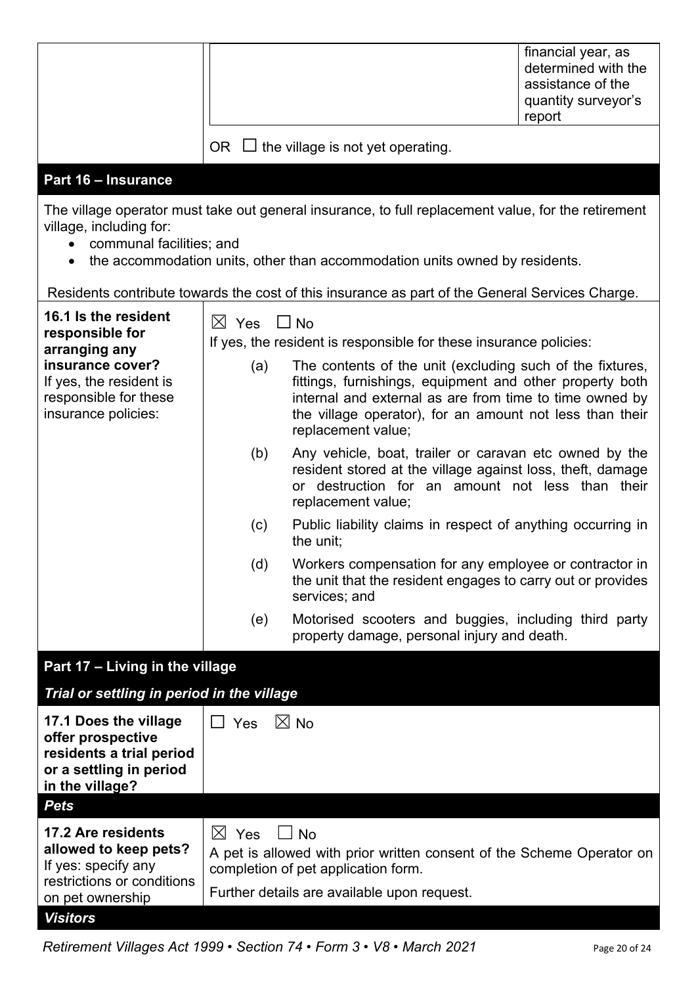|                                                                                                                                                                                                                                                        |                                                 | financial year, as<br>determined with the<br>assistance of the<br>quantity surveyor's<br>report |
|--------------------------------------------------------------------------------------------------------------------------------------------------------------------------------------------------------------------------------------------------------|-------------------------------------------------|-------------------------------------------------------------------------------------------------|
|                                                                                                                                                                                                                                                        | $\Box$ the village is not yet operating.<br>OR. |                                                                                                 |
| <b>Part 16 - Insurance</b>                                                                                                                                                                                                                             |                                                 |                                                                                                 |
| The village operator must take out general insurance, to full replacement value, for the retirement<br>village, including for:<br>communal facilities; and<br>the accommodation units, other than accommodation units owned by residents.<br>$\bullet$ |                                                 |                                                                                                 |
| Residents contribute towards the cost of this insurance as part of the General Services Charge.                                                                                                                                                        |                                                 |                                                                                                 |

| 16.1 Is the resident<br>responsible for<br>arranging any<br>insurance cover?<br>If yes, the resident is<br>responsible for these<br>insurance policies: | $\boxtimes$ Yes $\Box$ No<br>(a) | If yes, the resident is responsible for these insurance policies:<br>The contents of the unit (excluding such of the fixtures,<br>fittings, furnishings, equipment and other property both<br>internal and external as are from time to time owned by<br>the village operator), for an amount not less than their<br>replacement value; |
|---------------------------------------------------------------------------------------------------------------------------------------------------------|----------------------------------|-----------------------------------------------------------------------------------------------------------------------------------------------------------------------------------------------------------------------------------------------------------------------------------------------------------------------------------------|
|                                                                                                                                                         | (b)                              | Any vehicle, boat, trailer or caravan etc owned by the<br>resident stored at the village against loss, theft, damage<br>or destruction for an amount not less than their<br>replacement value;                                                                                                                                          |
|                                                                                                                                                         | (c)                              | Public liability claims in respect of anything occurring in<br>the unit;                                                                                                                                                                                                                                                                |
|                                                                                                                                                         | (d)                              | Workers compensation for any employee or contractor in<br>the unit that the resident engages to carry out or provides<br>services; and                                                                                                                                                                                                  |
|                                                                                                                                                         | (e)                              | Motorised scooters and buggies, including third party<br>property damage, personal injury and death.                                                                                                                                                                                                                                    |

# **Part 17 – Living in the village**

*Trial or settling in period in the village*

| 17.1 Does the village<br>offer prospective<br>residents a trial period<br>or a settling in period<br>in the village? | $\boxtimes$ No<br>Yes                                                                                                                                                                   |
|----------------------------------------------------------------------------------------------------------------------|-----------------------------------------------------------------------------------------------------------------------------------------------------------------------------------------|
| <b>Pets</b>                                                                                                          |                                                                                                                                                                                         |
| 17.2 Are residents<br>allowed to keep pets?<br>If yes: specify any<br>restrictions or conditions<br>on pet ownership | $\bowtie$<br>Yes<br>∣ No<br>A pet is allowed with prior written consent of the Scheme Operator on<br>completion of pet application form.<br>Further details are available upon request. |
| Visitors                                                                                                             |                                                                                                                                                                                         |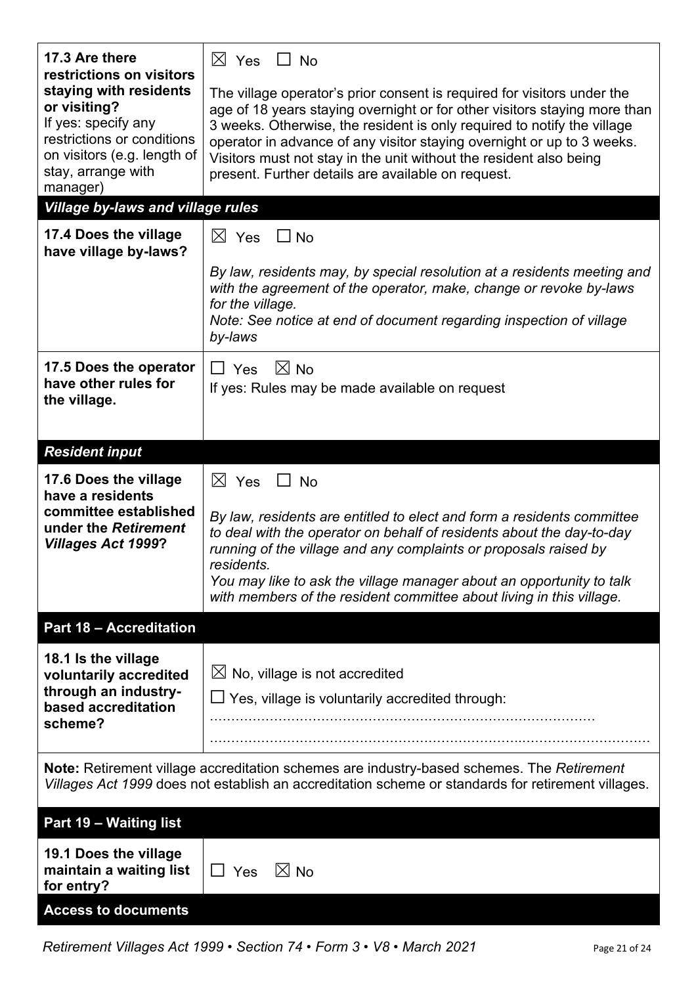| 17.3 Are there<br>restrictions on visitors                                                                                                                                                             | $\boxtimes$ Yes $\Box$ No                                                                                                                                                                                                                                                                                                                                                                                                             |
|--------------------------------------------------------------------------------------------------------------------------------------------------------------------------------------------------------|---------------------------------------------------------------------------------------------------------------------------------------------------------------------------------------------------------------------------------------------------------------------------------------------------------------------------------------------------------------------------------------------------------------------------------------|
| staying with residents<br>or visiting?<br>If yes: specify any<br>restrictions or conditions<br>on visitors (e.g. length of<br>stay, arrange with<br>manager)                                           | The village operator's prior consent is required for visitors under the<br>age of 18 years staying overnight or for other visitors staying more than<br>3 weeks. Otherwise, the resident is only required to notify the village<br>operator in advance of any visitor staying overnight or up to 3 weeks.<br>Visitors must not stay in the unit without the resident also being<br>present. Further details are available on request. |
| <b>Village by-laws and village rules</b>                                                                                                                                                               |                                                                                                                                                                                                                                                                                                                                                                                                                                       |
| 17.4 Does the village<br>have village by-laws?                                                                                                                                                         | $\boxtimes$ Yes $\Box$ No                                                                                                                                                                                                                                                                                                                                                                                                             |
|                                                                                                                                                                                                        | By law, residents may, by special resolution at a residents meeting and<br>with the agreement of the operator, make, change or revoke by-laws<br>for the village.<br>Note: See notice at end of document regarding inspection of village<br>by-laws                                                                                                                                                                                   |
| 17.5 Does the operator<br>have other rules for<br>the village.                                                                                                                                         | $\boxtimes$ No<br>$\Box$ Yes<br>If yes: Rules may be made available on request                                                                                                                                                                                                                                                                                                                                                        |
| <b>Resident input</b>                                                                                                                                                                                  |                                                                                                                                                                                                                                                                                                                                                                                                                                       |
| 17.6 Does the village<br>have a residents<br>committee established<br>under the Retirement<br><b>Villages Act 1999?</b>                                                                                | $\boxtimes$ Yes<br>$\Box$ No<br>By law, residents are entitled to elect and form a residents committee<br>to deal with the operator on behalf of residents about the day-to-day<br>running of the village and any complaints or proposals raised by<br>residents.<br>You may like to ask the village manager about an opportunity to talk<br>with members of the resident committee about living in this village.                     |
| <b>Part 18 - Accreditation</b>                                                                                                                                                                         |                                                                                                                                                                                                                                                                                                                                                                                                                                       |
| 18.1 Is the village<br>voluntarily accredited<br>through an industry-<br>based accreditation<br>scheme?                                                                                                | $\boxtimes$ No, village is not accredited<br>$\Box$ Yes, village is voluntarily accredited through:                                                                                                                                                                                                                                                                                                                                   |
| <b>Note:</b> Retirement village accreditation schemes are industry-based schemes. The Retirement<br>Villages Act 1999 does not establish an accreditation scheme or standards for retirement villages. |                                                                                                                                                                                                                                                                                                                                                                                                                                       |
| Part 19 - Waiting list                                                                                                                                                                                 |                                                                                                                                                                                                                                                                                                                                                                                                                                       |
| 19.1 Does the village<br>maintain a waiting list<br>for entry?                                                                                                                                         | $\Box$ Yes<br>$\boxtimes$ No                                                                                                                                                                                                                                                                                                                                                                                                          |
| <b>Access to documents</b>                                                                                                                                                                             |                                                                                                                                                                                                                                                                                                                                                                                                                                       |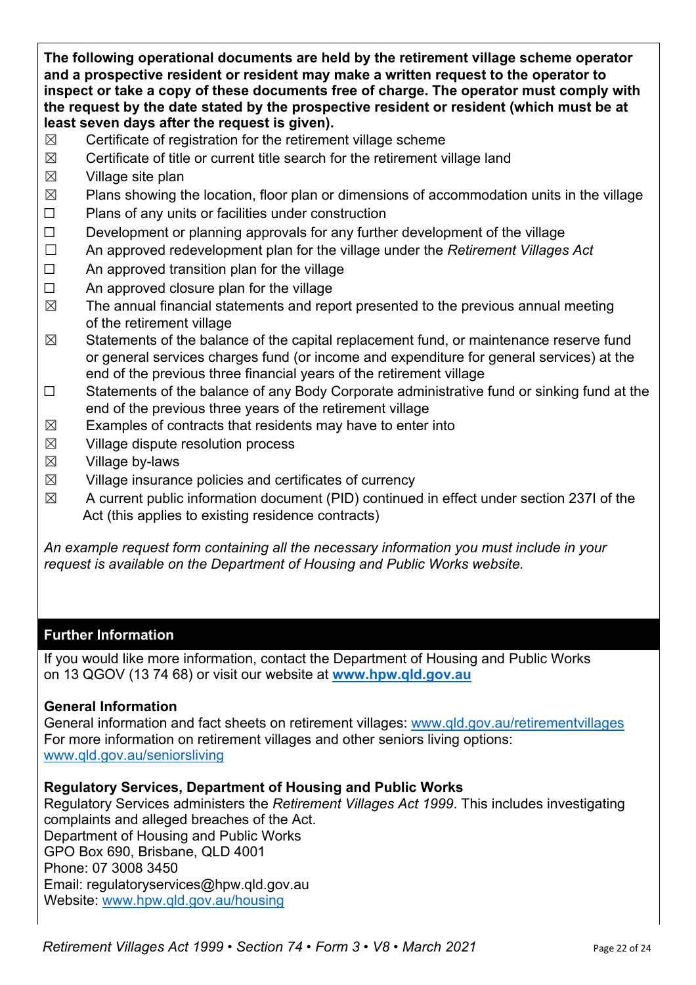**The following operational documents are held by the retirement village scheme operator and a prospective resident or resident may make a written request to the operator to inspect or take a copy of these documents free of charge. The operator must comply with the request by the date stated by the prospective resident or resident (which must be at least seven days after the request is given).**

- $\boxtimes$  Certificate of registration for the retirement village scheme
- $\boxtimes$  Certificate of title or current title search for the retirement village land
- $\boxtimes$  Village site plan
- $\boxtimes$  Plans showing the location, floor plan or dimensions of accommodation units in the village
- ☐ Plans of any units or facilities under construction
- $\Box$  Development or planning approvals for any further development of the village
- ☐ An approved redevelopment plan for the village under the *Retirement Villages Act*
- ☐ An approved transition plan for the village
- $\Box$  An approved closure plan for the village
- $\boxtimes$  The annual financial statements and report presented to the previous annual meeting of the retirement village
- $\boxtimes$  Statements of the balance of the capital replacement fund, or maintenance reserve fund or general services charges fund (or income and expenditure for general services) at the end of the previous three financial years of the retirement village
- ☐ Statements of the balance of any Body Corporate administrative fund or sinking fund at the end of the previous three years of the retirement village
- $\boxtimes$  Examples of contracts that residents may have to enter into
- $\boxtimes$  Village dispute resolution process
- $\boxtimes$  Village by-laws
- $\boxtimes$  Village insurance policies and certificates of currency
- $\boxtimes$  A current public information document (PID) continued in effect under section 237I of the Act (this applies to existing residence contracts)

*An example request form containing all the necessary information you must include in your request is available on the Department of Housing and Public Works website.*

## **Further Information**

If you would like more information, contact the Department of Housing and Public Works on 13 QGOV (13 74 68) or visit our website at **www.hpw.qld.gov.au**

#### **General Information**

General information and fact sheets on retirement villages: www.qld.gov.au/retirementvillages For more information on retirement villages and other seniors living options: www.qld.gov.au/seniorsliving

#### **Regulatory Services, Department of Housing and Public Works**

Regulatory Services administers the *Retirement Villages Act 1999*. This includes investigating complaints and alleged breaches of the Act. Department of Housing and Public Works GPO Box 690, Brisbane, QLD 4001 Phone: 07 3008 3450 Email: regulatoryservices@hpw.qld.gov.au Website: www.hpw.qld.gov.au/housing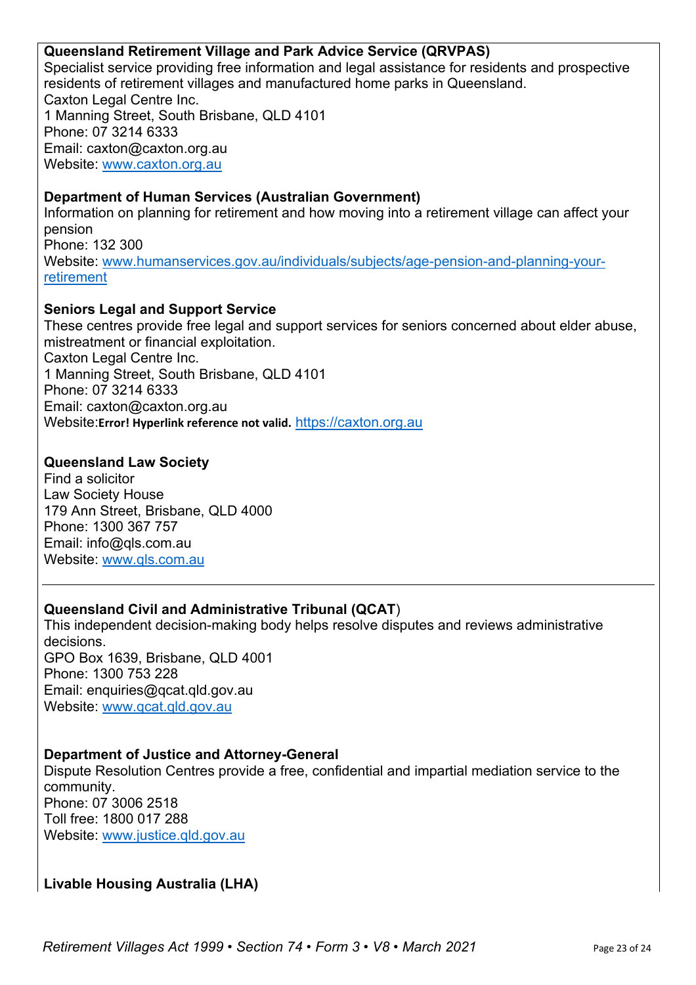#### **Queensland Retirement Village and Park Advice Service (QRVPAS)**

Specialist service providing free information and legal assistance for residents and prospective residents of retirement villages and manufactured home parks in Queensland. Caxton Legal Centre Inc. 1 Manning Street, South Brisbane, QLD 4101 Phone: 07 3214 6333 Email: caxton@caxton.org.au Website: www.caxton.org.au

#### **Department of Human Services (Australian Government)**

Information on planning for retirement and how moving into a retirement village can affect your pension Phone: 132 300 Website: www.humanservices.gov.au/individuals/subjects/age-pension-and-planning-yourretirement

#### **Seniors Legal and Support Service**

These centres provide free legal and support services for seniors concerned about elder abuse, mistreatment or financial exploitation. Caxton Legal Centre Inc. 1 Manning Street, South Brisbane, QLD 4101 Phone: 07 3214 6333 Email: caxton@caxton.org.au Website:**Error! Hyperlink reference not valid.** https://caxton.org.au

#### **Queensland Law Society**

Find a solicitor Law Society House 179 Ann Street, Brisbane, QLD 4000 Phone: 1300 367 757 Email: info@qls.com.au Website: www.qls.com.au

## **Queensland Civil and Administrative Tribunal (QCAT**)

This independent decision-making body helps resolve disputes and reviews administrative decisions. GPO Box 1639, Brisbane, QLD 4001 Phone: 1300 753 228 Email: enquiries@qcat.qld.gov.au Website: www.qcat.qld.gov.au

#### **Department of Justice and Attorney-General**

Dispute Resolution Centres provide a free, confidential and impartial mediation service to the community. Phone: 07 3006 2518 Toll free: 1800 017 288 Website: www.justice.qld.gov.au

## **Livable Housing Australia (LHA)**